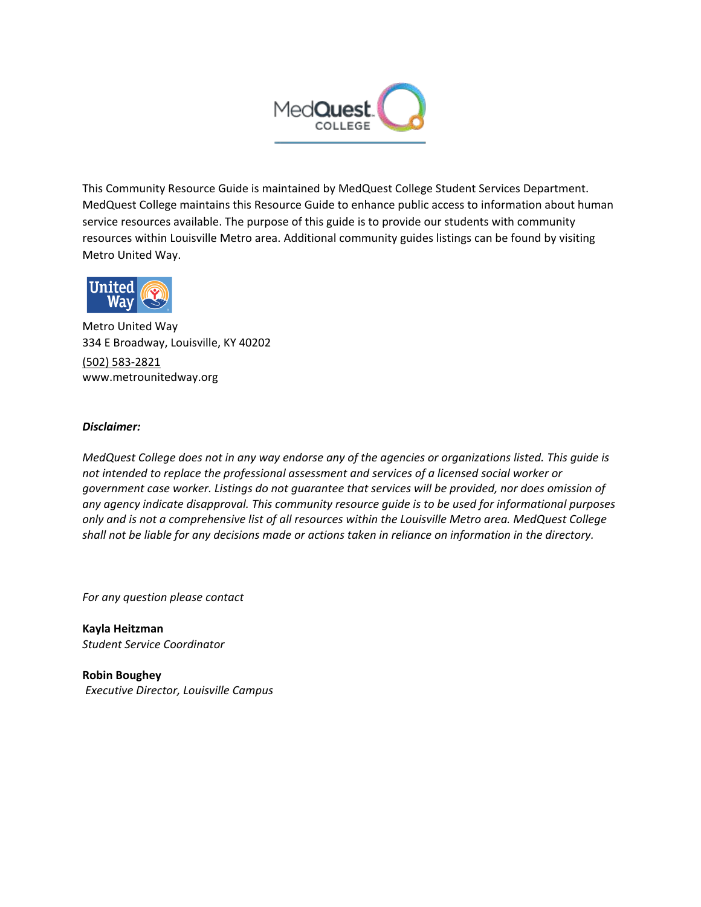

This Community Resource Guide is maintained by MedQuest College Student Services Department. MedQuest College maintains this Resource Guide to enhance public access to information about human service resources available. The purpose of this guide is to provide our students with community resources within Louisville Metro area. Additional community guides listings can be found by visiting Metro United Way.



Metro United Way 334 E Broadway, Louisville, KY 40202 [\(502\) 583-2821](https://www.google.com/search?ei=Q_0kXYSYK-2yggfisoOACQ&q=metro+united+way+211&oq=metro+united+way&gs_l=psy-ab.3.2.0l10.64512.67998..69931...1.0..0.108.1488.15j2....2..0....1..gws-wiz.......0i71j0i67j0i131j0i10i67.ySkqLWPQHyc) www.metrounitedway.org

#### *Disclaimer:*

*MedQuest College does not in any way endorse any of the agencies or organizations listed. This guide is not intended to replace the professional assessment and services of a licensed social worker or government case worker. Listings do not guarantee that services will be provided, nor does omission of any agency indicate disapproval. This community resource guide is to be used for informational purposes only and is not a comprehensive list of all resources within the Louisville Metro area. MedQuest College shall not be liable for any decisions made or actions taken in reliance on information in the directory.*

*For any question please contact*

**Kayla Heitzman** *Student Service Coordinator* 

**Robin Boughey** *Executive Director, Louisville Campus*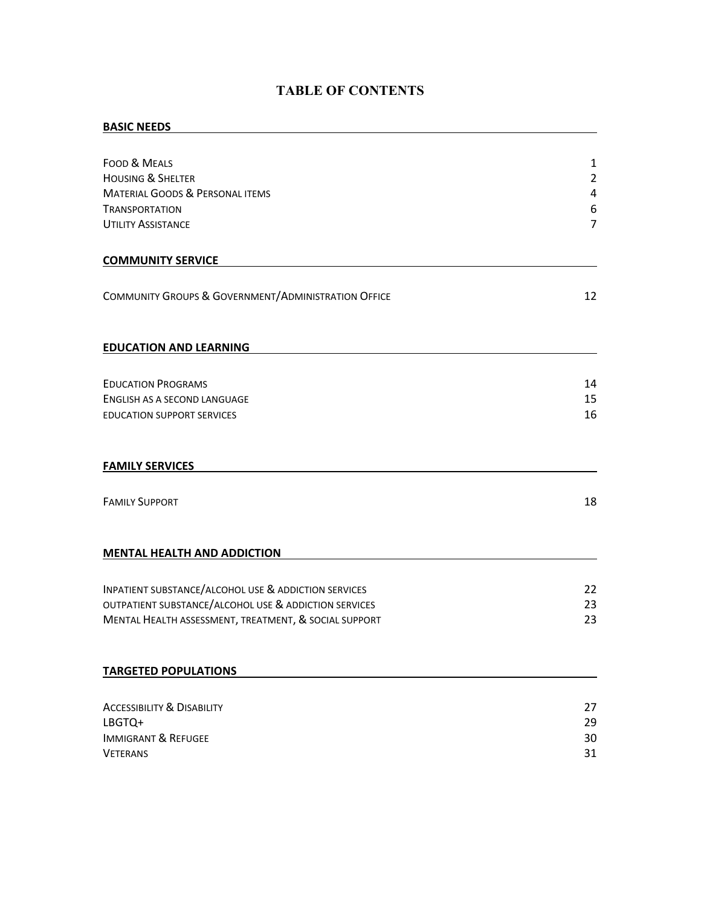# **TABLE OF CONTENTS**

### **BASIC NEEDS**

| FOOD & MEALS<br><b>HOUSING &amp; SHELTER</b><br><b>MATERIAL GOODS &amp; PERSONAL ITEMS</b> | 1<br>$\overline{2}$<br>$\pmb{4}$ |
|--------------------------------------------------------------------------------------------|----------------------------------|
| <b>TRANSPORTATION</b>                                                                      | $\boldsymbol{6}$                 |
| <b>UTILITY ASSISTANCE</b>                                                                  | $\overline{7}$                   |
|                                                                                            |                                  |
| <b>COMMUNITY SERVICE</b>                                                                   |                                  |
| COMMUNITY GROUPS & GOVERNMENT/ADMINISTRATION OFFICE                                        | 12                               |
| <b>EDUCATION AND LEARNING</b>                                                              |                                  |
| <b>EDUCATION PROGRAMS</b>                                                                  | 14                               |
| ENGLISH AS A SECOND LANGUAGE                                                               | 15                               |
| <b>EDUCATION SUPPORT SERVICES</b>                                                          | 16                               |
| <b>FAMILY SERVICES</b>                                                                     |                                  |
|                                                                                            |                                  |
| <b>FAMILY SUPPORT</b>                                                                      | 18                               |
| <b>MENTAL HEALTH AND ADDICTION</b>                                                         |                                  |
| <b>INPATIENT SUBSTANCE/ALCOHOL USE &amp; ADDICTION SERVICES</b>                            | 22                               |
| OUTPATIENT SUBSTANCE/ALCOHOL USE & ADDICTION SERVICES                                      | 23                               |
| MENTAL HEALTH ASSESSMENT, TREATMENT, & SOCIAL SUPPORT                                      | 23                               |
| <b>TARGETED POPULATIONS</b>                                                                |                                  |
|                                                                                            |                                  |
| <b>ACCESSIBILITY &amp; DISABILITY</b>                                                      | 27                               |
| LBGTQ+                                                                                     | 29                               |
| <b>IMMIGRANT &amp; REFUGEE</b>                                                             | 30                               |
| <b>VETERANS</b>                                                                            | 31                               |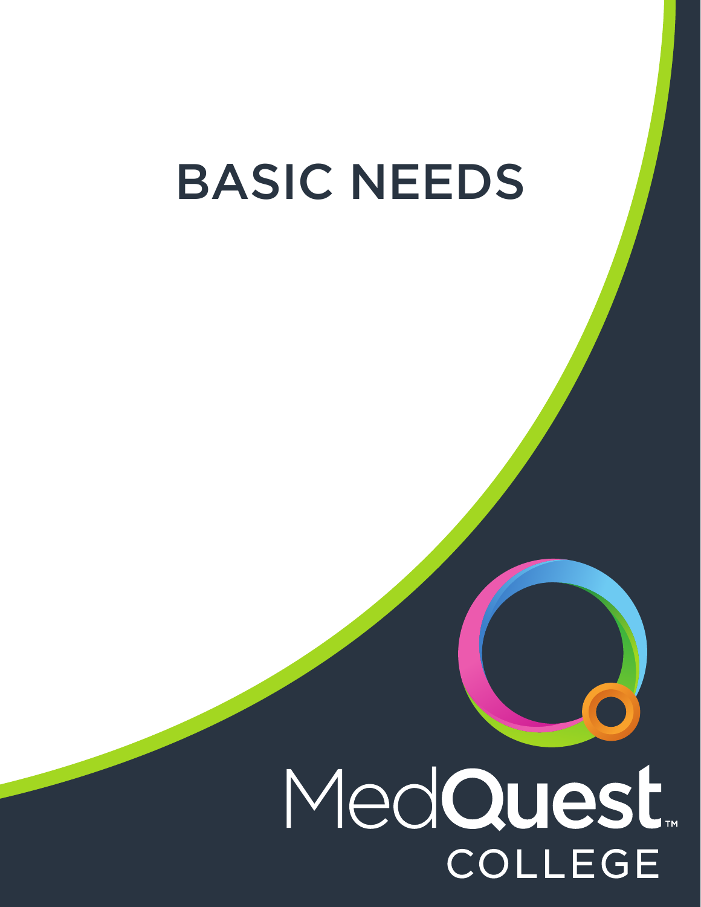# BASIC NEEDS

# MedQuest. **COLLEGE**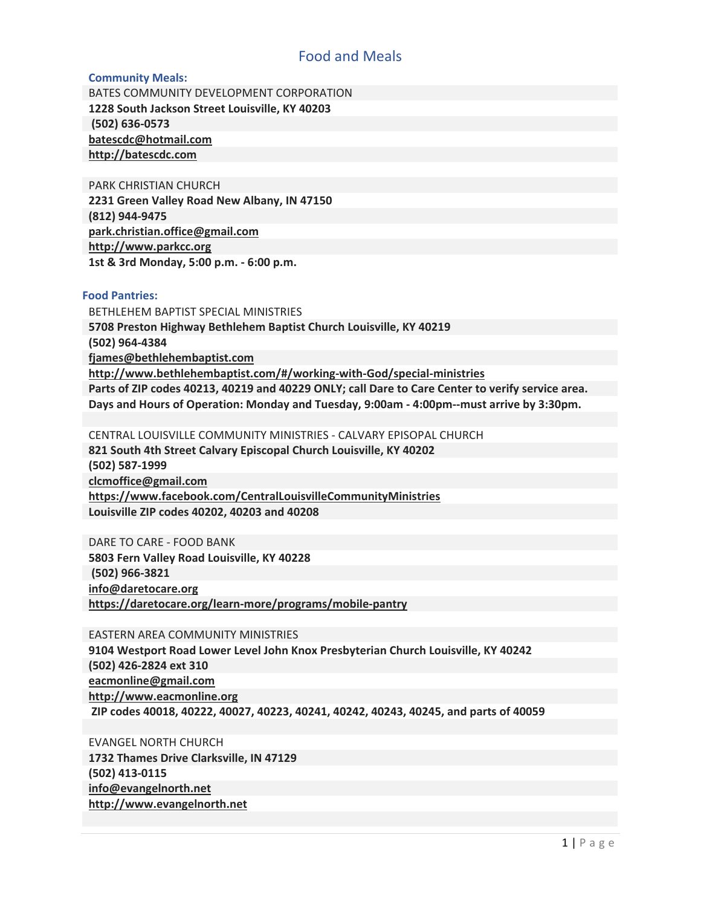# Food and Meals

#### <span id="page-3-0"></span>**Community Meals:**

BATES COMMUNITY DEVELOPMENT CORPORATION **1228 South Jackson Street Louisville, KY 40203 (502) 636-0573 batescdc@hotmail.com http://batescdc.com**

PARK CHRISTIAN CHURCH **2231 Green Valley Road New Albany, IN 47150 (812) 944-9475 park.christian.office@gmail.com http://www.parkcc.org 1st & 3rd Monday, 5:00 p.m. - 6:00 p.m.**

#### **Food Pantries:**

BETHLEHEM BAPTIST SPECIAL MINISTRIES **5708 Preston Highway Bethlehem Baptist Church Louisville, KY 40219 (502) 964-4384 fjames@bethlehembaptist.com http://www.bethlehembaptist.com/#/working-with-God/special-ministries Parts of ZIP codes 40213, 40219 and 40229 ONLY; call Dare to Care Center to verify service area. Days and Hours of Operation: Monday and Tuesday, 9:00am - 4:00pm--must arrive by 3:30pm.**

CENTRAL LOUISVILLE COMMUNITY MINISTRIES - CALVARY EPISOPAL CHURCH **821 South 4th Street Calvary Episcopal Church Louisville, KY 40202 (502) 587-1999 clcmoffice@gmail.com https://www.facebook.com/CentralLouisvilleCommunityMinistries Louisville ZIP codes 40202, 40203 and 40208**

DARE TO CARE - FOOD BANK **5803 Fern Valley Road Louisville, KY 40228 (502) 966-3821 info@daretocare.org https://daretocare.org/learn-more/programs/mobile-pantry**

EASTERN AREA COMMUNITY MINISTRIES

**9104 Westport Road Lower Level John Knox Presbyterian Church Louisville, KY 40242 (502) 426-2824 ext 310 eacmonline@gmail.com http://www.eacmonline.org ZIP codes 40018, 40222, 40027, 40223, 40241, 40242, 40243, 40245, and parts of 40059** 

EVANGEL NORTH CHURCH **1732 Thames Drive Clarksville, IN 47129 (502) 413-0115 info@evangelnorth.net http://www.evangelnorth.net**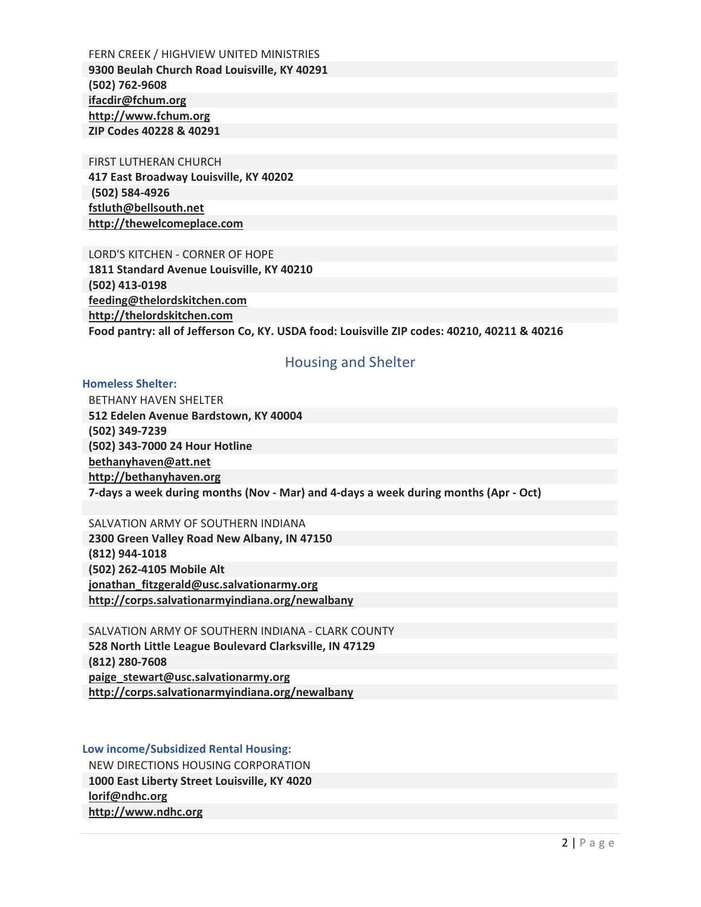<span id="page-4-0"></span>FERN CREEK / HIGHVIEW UNITED MINISTRIES **9300 Beulah Church Road Louisville, KY 40291 (502) 762-9608 ifacdir@fchum.org http://www.fchum.org ZIP Codes 40228 & 40291**

#### FIRST LUTHERAN CHURCH

**417 East Broadway Louisville, KY 40202 (502) 584-4926 fstluth@bellsouth.net http://thewelcomeplace.com**

LORD'S KITCHEN - CORNER OF HOPE **1811 Standard Avenue Louisville, KY 40210 (502) 413-0198 feeding@thelordskitchen.com http://thelordskitchen.com Food pantry: all of Jefferson Co, KY. USDA food: Louisville ZIP codes: 40210, 40211 & 40216**

### Housing and Shelter

#### **Homeless Shelter:**

BETHANY HAVEN SHELTER **512 Edelen Avenue Bardstown, KY 40004 (502) 349-7239 (502) 343-7000 24 Hour Hotline bethanyhaven@att.net http://bethanyhaven.org 7-days a week during months (Nov - Mar) and 4-days a week during months (Apr - Oct)**

SALVATION ARMY OF SOUTHERN INDIANA **2300 Green Valley Road New Albany, IN 47150 (812) 944-1018 (502) 262-4105 Mobile Alt jonathan\_fitzgerald@usc.salvationarmy.org http://corps.salvationarmyindiana.org/newalbany**

SALVATION ARMY OF SOUTHERN INDIANA - CLARK COUNTY **528 North Little League Boulevard Clarksville, IN 47129 (812) 280-7608 paige\_stewart@usc.salvationarmy.org http://corps.salvationarmyindiana.org/newalbany**

**Low income/Subsidized Rental Housing:** NEW DIRECTIONS HOUSING CORPORATION **1000 East Liberty Street Louisville, KY 4020 lorif@ndhc.org http://www.ndhc.org**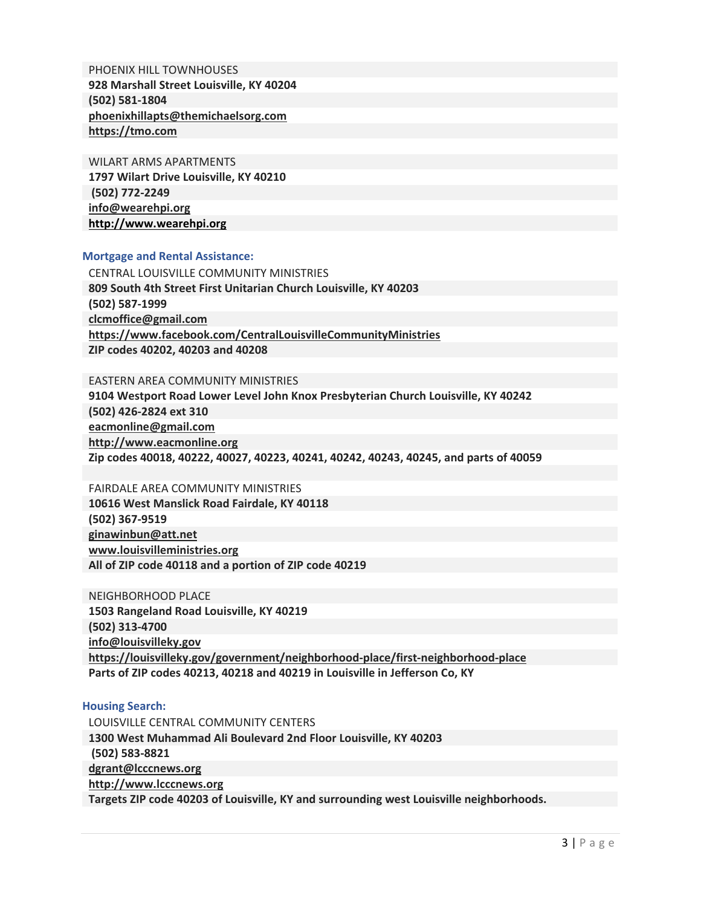PHOENIX HILL TOWNHOUSES **928 Marshall Street Louisville, KY 40204 (502) 581-1804 phoenixhillapts@themichaelsorg.com https://tmo.com**

WILART ARMS APARTMENTS **1797 Wilart Drive Louisville, KY 40210 (502) 772-2249 info@wearehpi.org http://www.wearehpi.org**

#### **Mortgage and Rental Assistance:**

CENTRAL LOUISVILLE COMMUNITY MINISTRIES **809 South 4th Street First Unitarian Church Louisville, KY 40203 (502) 587-1999 clcmoffice@gmail.com https://www.facebook.com/CentralLouisvilleCommunityMinistries ZIP codes 40202, 40203 and 40208**

#### EASTERN AREA COMMUNITY MINISTRIES

**9104 Westport Road Lower Level John Knox Presbyterian Church Louisville, KY 40242 (502) 426-2824 ext 310 [eacmonline@gmail.com](mailto:eacmonline@gmail.com) http://www.eacmonline.org Zip codes 40018, 40222, 40027, 40223, 40241, 40242, 40243, 40245, and parts of 40059**

#### FAIRDALE AREA COMMUNITY MINISTRIES

**10616 West Manslick Road Fairdale, KY 40118 (502) 367-9519 ginawinbun@att.net www.louisvilleministries.org All of ZIP code 40118 and a portion of ZIP code 40219**

NEIGHBORHOOD PLACE **1503 Rangeland Road Louisville, KY 40219 (502) 313-4700 info@louisvilleky.gov https://louisvilleky.gov/government/neighborhood-place/first-neighborhood-place Parts of ZIP codes 40213, 40218 and 40219 in Louisville in Jefferson Co, KY**

#### **Housing Search:**

LOUISVILLE CENTRAL COMMUNITY CENTERS **1300 West Muhammad Ali Boulevard 2nd Floor Louisville, KY 40203 (502) 583-8821 dgrant@lcccnews.org http://www.lcccnews.org Targets ZIP code 40203 of Louisville, KY and surrounding west Louisville neighborhoods.**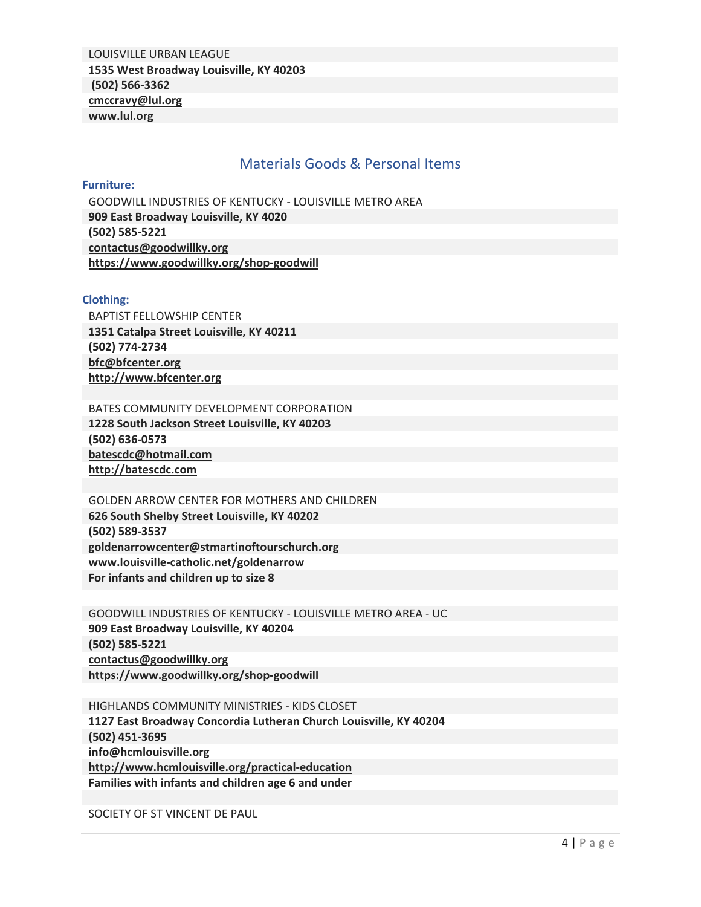<span id="page-6-0"></span>LOUISVILLE URBAN LEAGUE **1535 West Broadway Louisville, KY 40203 (502) 566-3362 cmccravy@lul.org www.lul.org**

## Materials Goods & Personal Items

#### **Furniture:**

GOODWILL INDUSTRIES OF KENTUCKY - LOUISVILLE METRO AREA **909 East Broadway Louisville, KY 4020 (502) 585-5221 contactus@goodwillky.org https://www.goodwillky.org/shop-goodwill**

#### **Clothing:**

BAPTIST FELLOWSHIP CENTER **1351 Catalpa Street Louisville, KY 40211 (502) 774-2734 [bfc@bfcenter.org](mailto:bfc@bfcenter.org) [http://www.bfcenter.org](http://www.bfcenter.org/)**

BATES COMMUNITY DEVELOPMENT CORPORATION **1228 South Jackson Street Louisville, KY 40203 (502) 636-0573 [batescdc@hotmail.com](mailto:batescdc@hotmail.com) [http://batescdc.com](http://batescdc.com/)**

GOLDEN ARROW CENTER FOR MOTHERS AND CHILDREN **626 South Shelby Street Louisville, KY 40202 (502) 589-3537 goldenarrowcenter@stmartinoftourschurch.org [www.louisville-catholic.net/goldenarrow](http://www.louisville-catholic.net/goldenarrow) For infants and children up to size 8**

GOODWILL INDUSTRIES OF KENTUCKY - LOUISVILLE METRO AREA - UC **909 East Broadway Louisville, KY 40204 (502) 585-5221 [contactus@goodwillky.org](mailto:contactus@goodwillky.org) <https://www.goodwillky.org/shop-goodwill>**

HIGHLANDS COMMUNITY MINISTRIES - KIDS CLOSET **1127 East Broadway Concordia Lutheran Church Louisville, KY 40204 (502) 451-3695 [info@hcmlouisville.org](mailto:info@hcmlouisville.org)  <http://www.hcmlouisville.org/practical-education> Families with infants and children age 6 and under**

SOCIETY OF ST VINCENT DE PAUL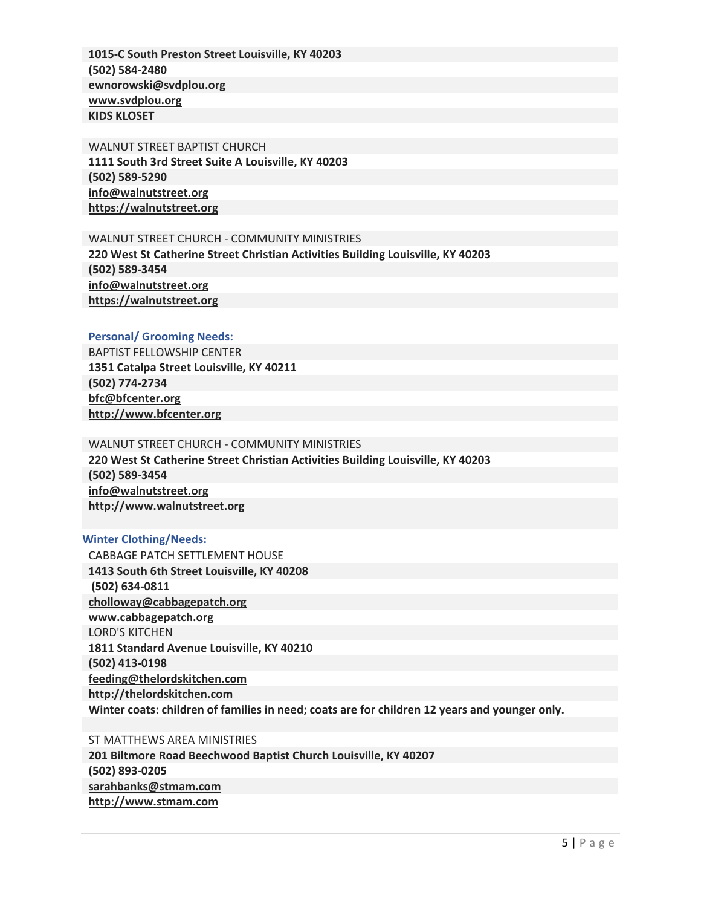**1015-C South Preston Street Louisville, KY 40203 (502) 584-2480 [ewnorowski@svdplou.org](mailto:ewnorowski@svdplou.org) [www.svdplou.org](http://www.svdplou.org/) KIDS KLOSET**

WALNUT STREET BAPTIST CHURCH **1111 South 3rd Street Suite A Louisville, KY 40203 (502) 589-5290 [info@walnutstreet.org](mailto:info@walnutstreet.org) [https://walnutstreet.org](https://walnutstreet.org/)**

### WALNUT STREET CHURCH - COMMUNITY MINISTRIES

**220 West St Catherine Street Christian Activities Building Louisville, KY 40203 (502) 589-3454 [info@walnutstreet.org](mailto:info@walnutstreet.org) [https://walnutstreet.org](https://walnutstreet.org/)**

#### **Personal/ Grooming Needs:**

BAPTIST FELLOWSHIP CENTER **1351 Catalpa Street Louisville, KY 40211 (502) 774-2734 [bfc@bfcenter.org](mailto:bfc@bfcenter.org) [http://www.bfcenter.org](http://www.bfcenter.org/)**

#### WALNUT STREET CHURCH - COMMUNITY MINISTRIES

**220 West St Catherine Street Christian Activities Building Louisville, KY 40203 (502) 589-3454 [info@walnutstreet.org](mailto:info@walnutstreet.org) [http://www.walnutstreet.org](http://www.walnutstreet.org/)**

#### **Winter Clothing/Needs:**

CABBAGE PATCH SETTLEMENT HOUSE **1413 South 6th Street Louisville, KY 40208 (502) 634-0811 [cholloway@cabbagepatch.org](mailto:cholloway@cabbagepatch.org) [www.cabbagepatch.org](http://www.cabbagepatch.org/)** LORD'S KITCHEN **1811 Standard Avenue Louisville, KY 40210 (502) 413-0198 [feeding@thelordskitchen.com](mailto:feeding@thelordskitchen.com) [http://thelordskitchen.com](http://thelordskitchen.com/) Winter coats: children of families in need; coats are for children 12 years and younger only.**

ST MATTHEWS AREA MINISTRIES **201 Biltmore Road Beechwood Baptist Church Louisville, KY 40207 (502) 893-0205 [sarahbanks@stmam.com](mailto:sarahbanks@stmam.com) [http://www.stmam.com](http://www.stmam.com/)**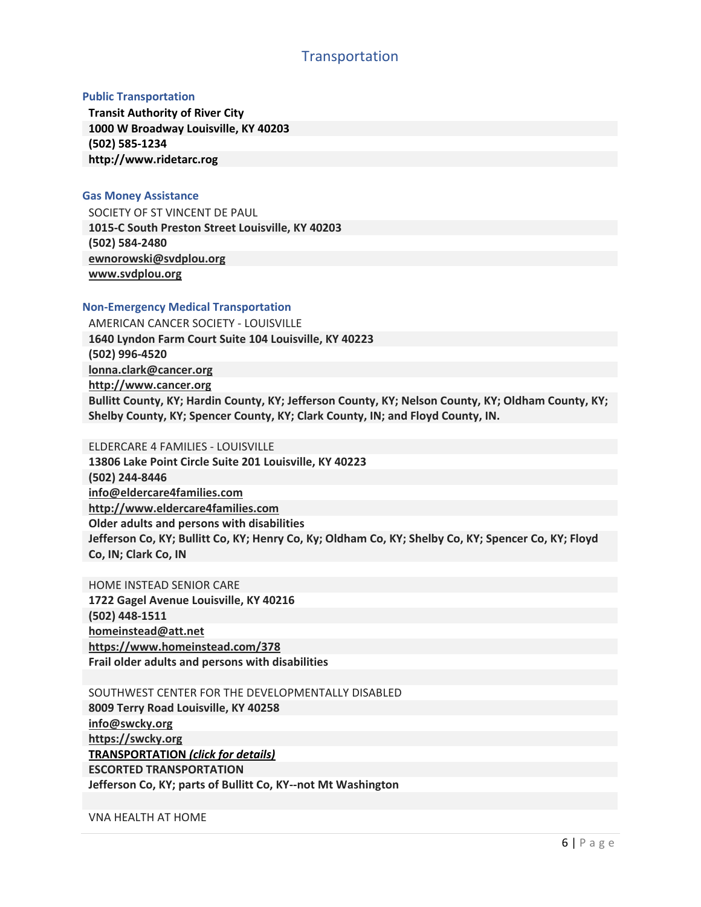## **Transportation**

#### <span id="page-8-0"></span>**Public Transportation**

**Transit Authority of River City 1000 W Broadway Louisville, KY 40203 (502) 585-1234 http://www.ridetarc.rog**

#### **Gas Money Assistance**

SOCIETY OF ST VINCENT DE PAUL **1015-C South Preston Street Louisville, KY 40203 (502) 584-2480 [ewnorowski@svdplou.org](mailto:ewnorowski@svdplou.org) [www.svdplou.org](http://www.svdplou.org/)**

#### **Non-Emergency Medical Transportation**

AMERICAN CANCER SOCIETY - LOUISVILLE **1640 Lyndon Farm Court Suite 104 Louisville, KY 40223 (502) 996-4520 [lonna.clark@cancer.org](mailto:lonna.clark@cancer.org) [http://www.cancer.org](http://www.cancer.org/) Bullitt County, KY; Hardin County, KY; Jefferson County, KY; Nelson County, KY; Oldham County, KY; Shelby County, KY; Spencer County, KY; Clark County, IN; and Floyd County, IN.**

#### ELDERCARE 4 FAMILIES - LOUISVILLE

**13806 Lake Point Circle Suite 201 Louisville, KY 40223 (502) 244-8446 [info@eldercare4families.com](mailto:info@eldercare4families.com)  [http://www.eldercare4families.com](http://www.eldercare4families.com/) Older adults and persons with disabilities Jefferson Co, KY; Bullitt Co, KY; Henry Co, Ky; Oldham Co, KY; Shelby Co, KY; Spencer Co, KY; Floyd Co, IN; Clark Co, IN**

HOME INSTEAD SENIOR CARE **1722 Gagel Avenue Louisville, KY 40216 (502) 448-1511 [homeinstead@att.net](mailto:homeinstead@att.net) <https://www.homeinstead.com/378> Frail older adults and persons with disabilities**

SOUTHWEST CENTER FOR THE DEVELOPMENTALLY DISABLED **8009 Terry Road Louisville, KY 40258 [info@swcky.org](mailto:info@swcky.org) [https://swcky.org](https://swcky.org/) TRANSPORTATION** *(click for details)* **ESCORTED TRANSPORTATION Jefferson Co, KY; parts of Bullitt Co, KY--not Mt Washington**

VNA HEALTH AT HOME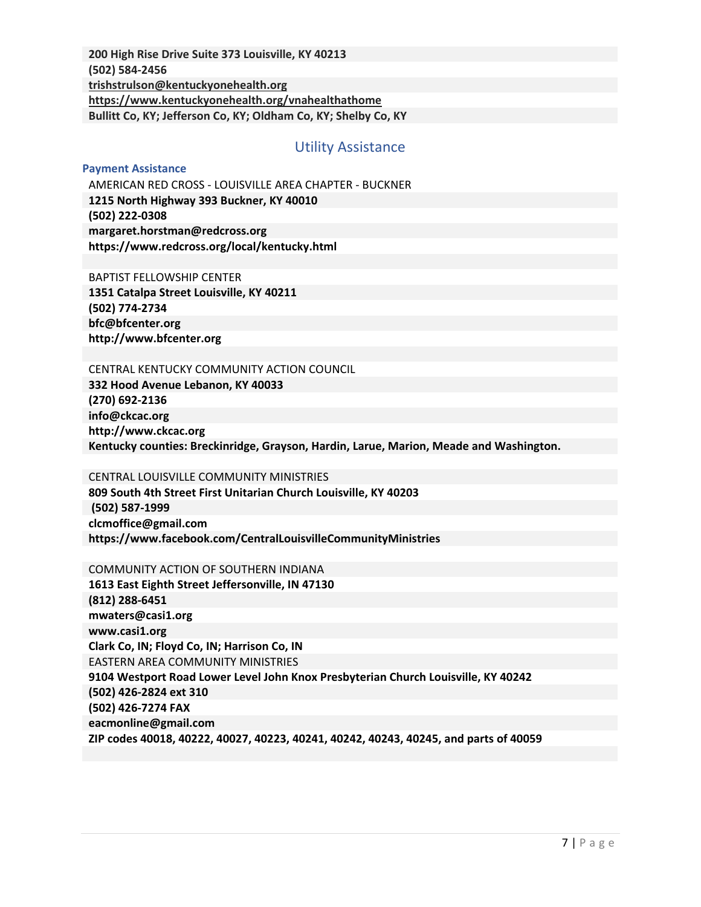<span id="page-9-0"></span>**200 High Rise Drive Suite 373 Louisville, KY 40213 (502) 584-2456 [trishstrulson@kentuckyonehealth.org](mailto:trishstrulson@kentuckyonehealth.org)  <https://www.kentuckyonehealth.org/vnahealthathome> Bullitt Co, KY; Jefferson Co, KY; Oldham Co, KY; Shelby Co, KY**

## Utility Assistance

#### **Payment Assistance**

AMERICAN RED CROSS - LOUISVILLE AREA CHAPTER - BUCKNER **1215 North Highway 393 Buckner, KY 40010 (502) 222-0308 margaret.horstman@redcross.org https://www.redcross.org/local/kentucky.html**

#### BAPTIST FELLOWSHIP CENTER

**1351 Catalpa Street Louisville, KY 40211 (502) 774-2734 bfc@bfcenter.org http://www.bfcenter.org**

#### CENTRAL KENTUCKY COMMUNITY ACTION COUNCIL

**332 Hood Avenue Lebanon, KY 40033 (270) 692-2136 info@ckcac.org http://www.ckcac.org Kentucky counties: Breckinridge, Grayson, Hardin, Larue, Marion, Meade and Washington.**

#### CENTRAL LOUISVILLE COMMUNITY MINISTRIES

**809 South 4th Street First Unitarian Church Louisville, KY 40203 (502) 587-1999 clcmoffice@gmail.com https://www.facebook.com/CentralLouisvilleCommunityMinistries**

#### COMMUNITY ACTION OF SOUTHERN INDIANA

**1613 East Eighth Street Jeffersonville, IN 47130 (812) 288-6451 mwaters@casi1.org www.casi1.org Clark Co, IN; Floyd Co, IN; Harrison Co, IN** EASTERN AREA COMMUNITY MINISTRIES **9104 Westport Road Lower Level John Knox Presbyterian Church Louisville, KY 40242 (502) 426-2824 ext 310 (502) 426-7274 FAX eacmonline@gmail.com ZIP codes 40018, 40222, 40027, 40223, 40241, 40242, 40243, 40245, and parts of 40059**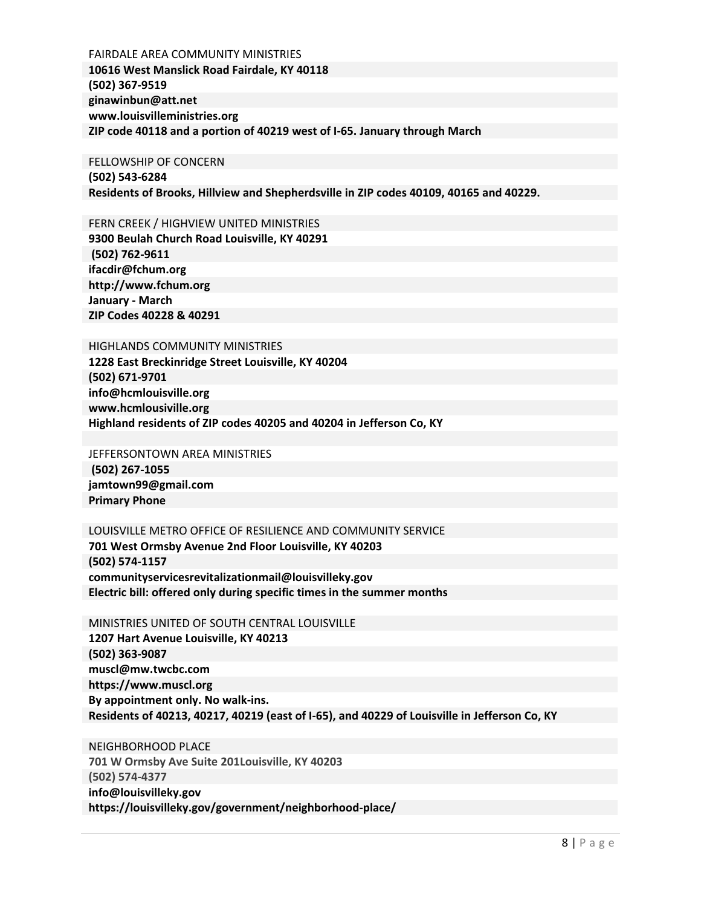FAIRDALE AREA COMMUNITY MINISTRIES **10616 West Manslick Road Fairdale, KY 40118 (502) 367-9519 ginawinbun@att.net www.louisvilleministries.org ZIP code 40118 and a portion of 40219 west of I-65. January through March** 

#### FELLOWSHIP OF CONCERN **(502) 543-6284**

**Residents of Brooks, Hillview and Shepherdsville in ZIP codes 40109, 40165 and 40229.**

FERN CREEK / HIGHVIEW UNITED MINISTRIES

**9300 Beulah Church Road Louisville, KY 40291 (502) 762-9611 ifacdir@fchum.org http://www.fchum.org January - March ZIP Codes 40228 & 40291**

#### HIGHLANDS COMMUNITY MINISTRIES

**1228 East Breckinridge Street Louisville, KY 40204 (502) 671-9701 info@hcmlouisville.org www.hcmlousiville.org Highland residents of ZIP codes 40205 and 40204 in Jefferson Co, KY**

#### JEFFERSONTOWN AREA MINISTRIES

**(502) 267-1055 jamtown99@gmail.com Primary Phone**

#### LOUISVILLE METRO OFFICE OF RESILIENCE AND COMMUNITY SERVICE

**701 West Ormsby Avenue 2nd Floor Louisville, KY 40203 (502) 574-1157 communityservicesrevitalizationmail@louisvilleky.gov Electric bill: offered only during specific times in the summer months**

MINISTRIES UNITED OF SOUTH CENTRAL LOUISVILLE **1207 Hart Avenue Louisville, KY 40213 (502) 363-9087 muscl@mw.twcbc.com https://www.muscl.org By appointment only. No walk-ins. Residents of 40213, 40217, 40219 (east of I-65), and 40229 of Louisville in Jefferson Co, KY** 

NEIGHBORHOOD PLACE **701 W Ormsby Ave Suite 201Louisville, KY 40203 (502) 574-4377 info@louisvilleky.gov https://louisvilleky.gov/government/neighborhood-place/**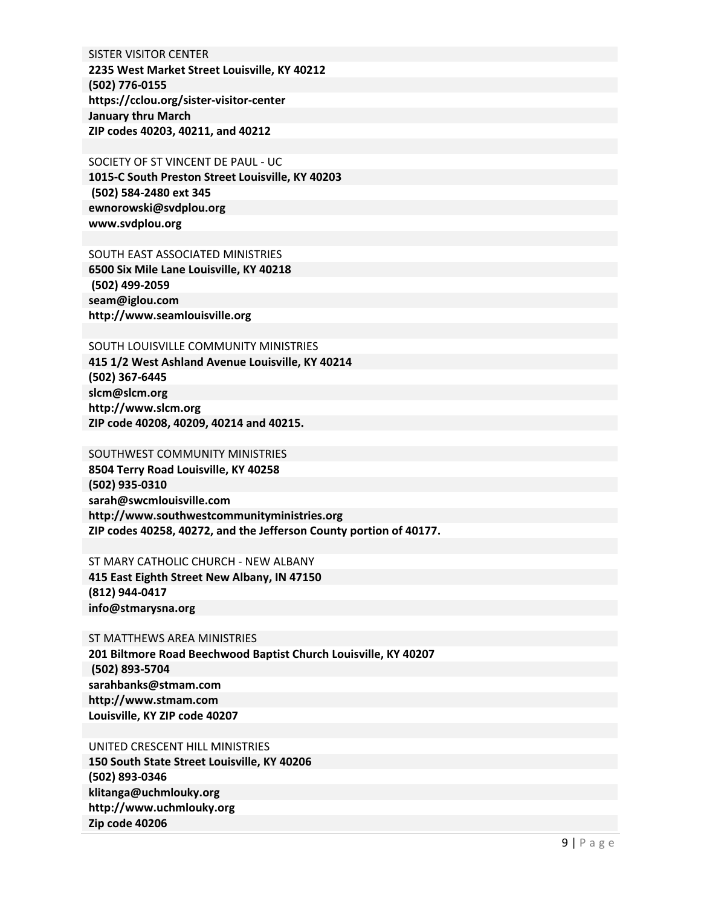SISTER VISITOR CENTER **2235 West Market Street Louisville, KY 40212 (502) 776-0155 https://cclou.org/sister-visitor-center January thru March ZIP codes 40203, 40211, and 40212**

SOCIETY OF ST VINCENT DE PAUL - UC **1015-C South Preston Street Louisville, KY 40203 (502) 584-2480 ext 345 ewnorowski@svdplou.org www.svdplou.org**

#### SOUTH EAST ASSOCIATED MINISTRIES

**6500 Six Mile Lane Louisville, KY 40218 (502) 499-2059 seam@iglou.com http://www.seamlouisville.org**

#### SOUTH LOUISVILLE COMMUNITY MINISTRIES

**415 1/2 West Ashland Avenue Louisville, KY 40214 (502) 367-6445 slcm@slcm.org http://www.slcm.org ZIP code 40208, 40209, 40214 and 40215.**

#### SOUTHWEST COMMUNITY MINISTRIES

**8504 Terry Road Louisville, KY 40258 (502) 935-0310 sarah@swcmlouisville.com http://www.southwestcommunityministries.org ZIP codes 40258, 40272, and the Jefferson County portion of 40177.**

#### ST MARY CATHOLIC CHURCH - NEW ALBANY

**415 East Eighth Street New Albany, IN 47150 (812) 944-0417 info@stmarysna.org**

#### ST MATTHEWS AREA MINISTRIES

**201 Biltmore Road Beechwood Baptist Church Louisville, KY 40207 (502) 893-5704 sarahbanks@stmam.com http://www.stmam.com Louisville, KY ZIP code 40207** 

#### UNITED CRESCENT HILL MINISTRIES

**150 South State Street Louisville, KY 40206 (502) 893-0346 klitanga@uchmlouky.org http://www.uchmlouky.org Zip code 40206**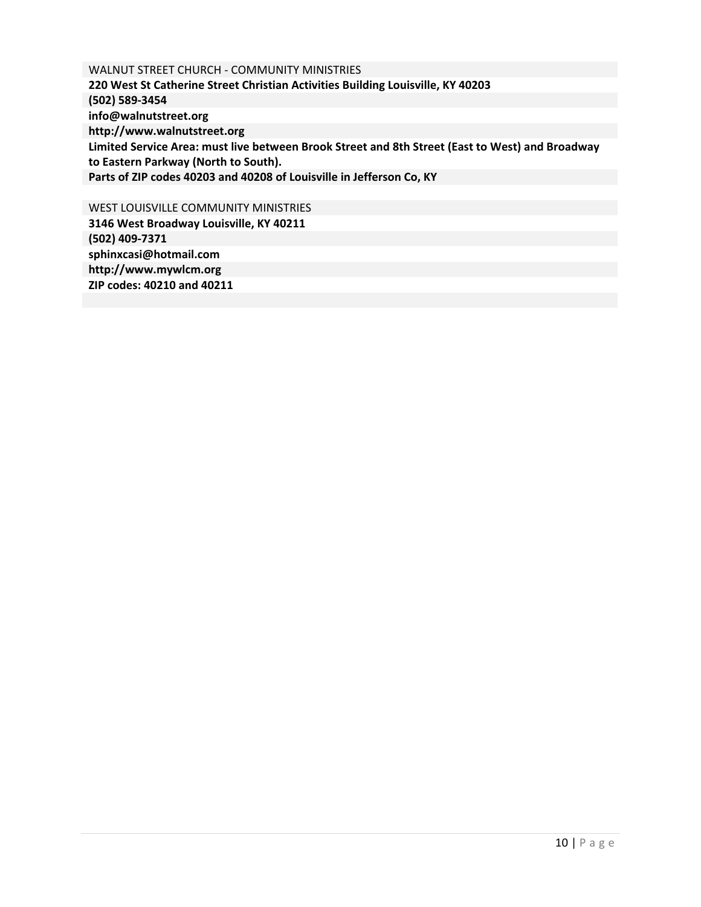WALNUT STREET CHURCH - COMMUNITY MINISTRIES **220 West St Catherine Street Christian Activities Building Louisville, KY 40203 (502) 589-3454 info@walnutstreet.org http://www.walnutstreet.org Limited Service Area: must live between Brook Street and 8th Street (East to West) and Broadway to Eastern Parkway (North to South). Parts of ZIP codes 40203 and 40208 of Louisville in Jefferson Co, KY**

WEST LOUISVILLE COMMUNITY MINISTRIES **3146 West Broadway Louisville, KY 40211 (502) 409-7371 sphinxcasi@hotmail.com http://www.mywlcm.org ZIP codes: 40210 and 40211**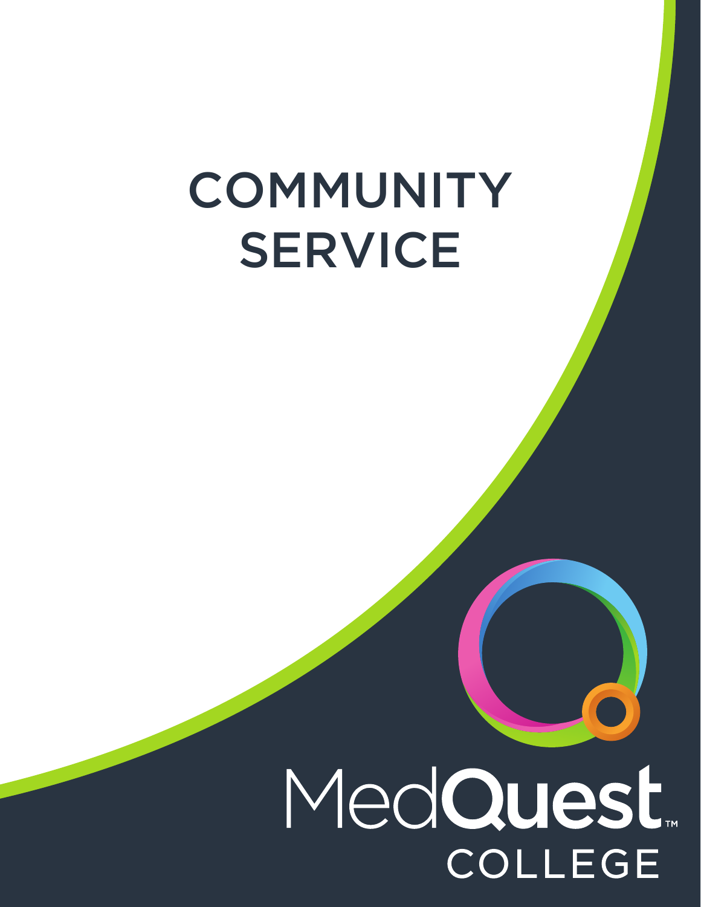# **COMMUNITY** SERVICE

# MedQuest. **COLLEGE**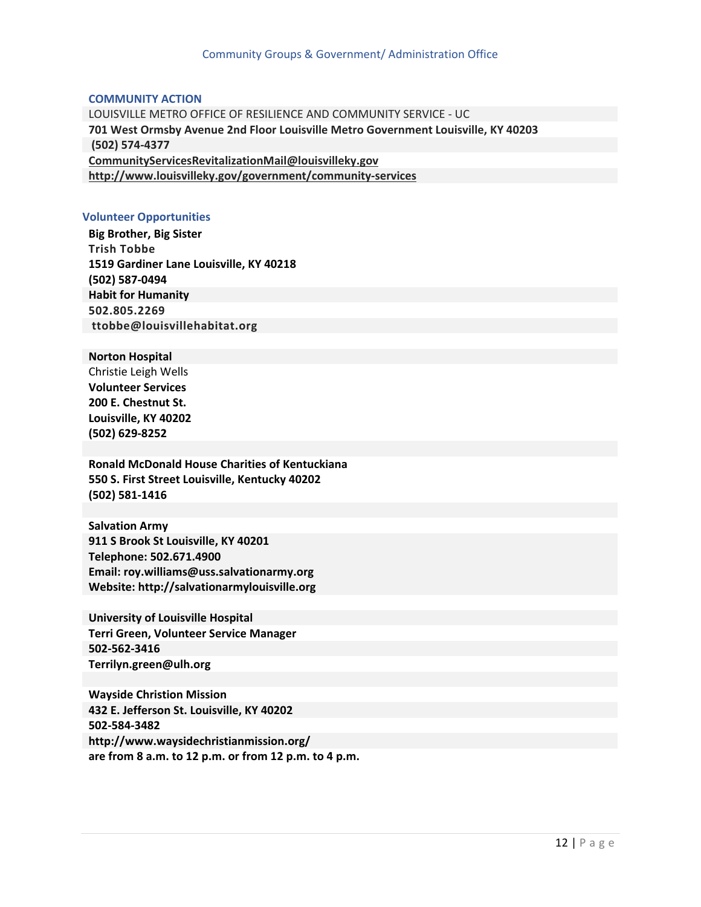#### <span id="page-14-0"></span>**COMMUNITY ACTION**

LOUISVILLE METRO OFFICE OF RESILIENCE AND COMMUNITY SERVICE - UC **701 West Ormsby Avenue 2nd Floor Louisville Metro Government Louisville, KY 40203 (502) 574-4377 [CommunityServicesRevitalizationMail@louisvilleky.gov](mailto:CommunityServicesRevitalizationMail@louisvilleky.gov)  <http://www.louisvilleky.gov/government/community-services>**

#### **Volunteer Opportunities**

**Big Brother, Big Sister Trish Tobbe 1519 Gardiner Lane Louisville, KY 40218 (502) 587-0494 Habit for Humanity 502.805.2269 ttobbe@louisvillehabitat.org**

#### **Norton Hospital**

[Christie Leigh Wells](mailto:christieleigh.wells@nortonhealthcare.org) **Volunteer Services 200 E. Chestnut St. Louisville, KY 40202 (502) 629-8252**

**Ronald McDonald House Charities of Kentuckiana 550 S. First Street Louisville, Kentucky 40202 (502) 581-1416**

**Salvation Army 911 S Brook St Louisville, KY 40201 Telephone: 502.671.4900 Email: roy.williams@uss.salvationarmy.org Website: http://salvationarmylouisville.org**

**University of Louisville Hospital Terri Green, Volunteer Service Manager 502-562-3416 Terrilyn.green@ulh.org**

**Wayside Christion Mission 432 E. Jefferson St. Louisville, KY 40202 502-584-3482 http://www.waysidechristianmission.org/ are from 8 a.m. to 12 p.m. or from 12 p.m. to 4 p.m.**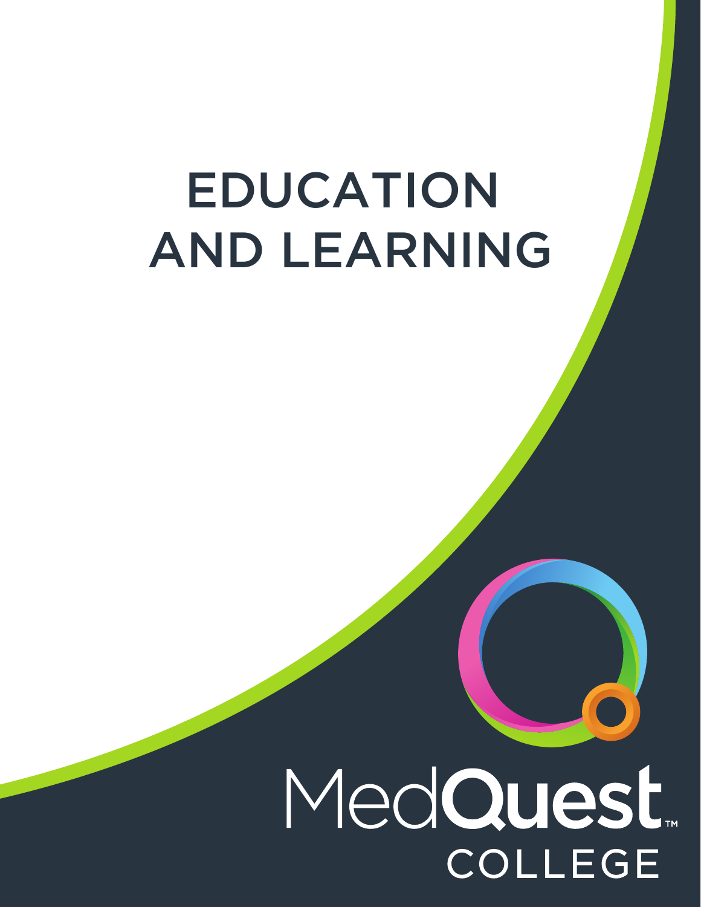# EDUCATION AND LEARNING

# MedQuest. **COLLEGE**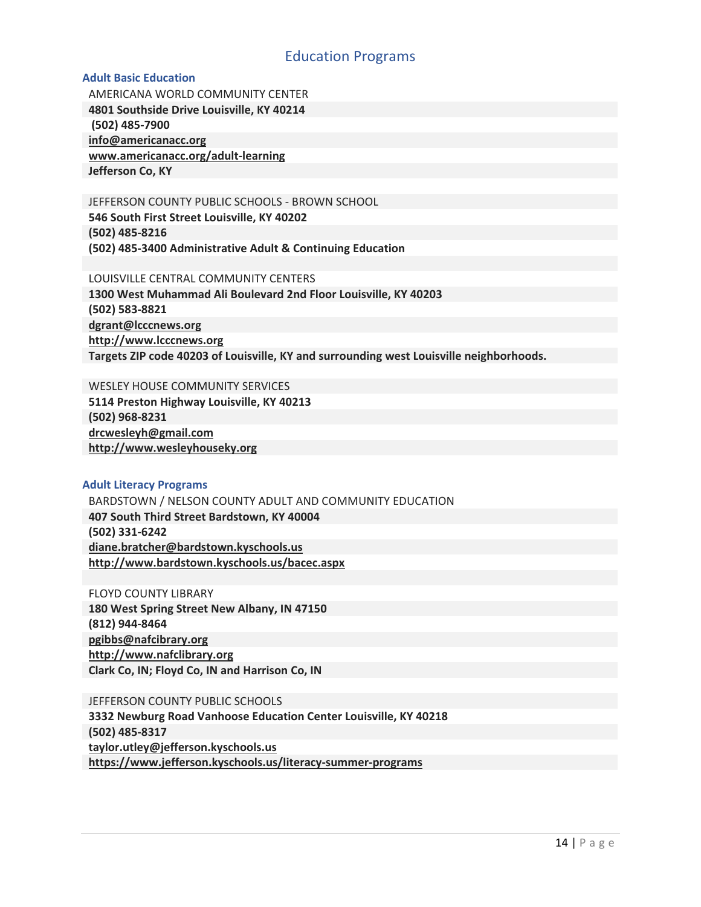## Education Programs

#### <span id="page-16-0"></span>**Adult Basic Education**

AMERICANA WORLD COMMUNITY CENTER **4801 Southside Drive Louisville, KY 40214 (502) 485-7900 [info@americanacc.org](mailto:info@americanacc.org) [www.americanacc.org/adult-learning](http://www.americanacc.org/adult-learning) Jefferson Co, KY**

JEFFERSON COUNTY PUBLIC SCHOOLS - BROWN SCHOOL **546 South First Street Louisville, KY 40202 (502) 485-8216** 

**(502) 485-3400 Administrative Adult & Continuing Education**

LOUISVILLE CENTRAL COMMUNITY CENTERS

**1300 West Muhammad Ali Boulevard 2nd Floor Louisville, KY 40203 (502) 583-8821 [dgrant@lcccnews.org](mailto:dgrant@lcccnews.org) [http://www.lcccnews.org](http://www.lcccnews.org/) Targets ZIP code 40203 of Louisville, KY and surrounding west Louisville neighborhoods.**

WESLEY HOUSE COMMUNITY SERVICES **5114 Preston Highway Louisville, KY 40213 (502) 968-8231 [drcwesleyh@gmail.com](mailto:drcwesleyh@gmail.com) [http://www.wesleyhouseky.org](http://www.wesleyhouseky.org/)**

#### **Adult Literacy Programs**

BARDSTOWN / NELSON COUNTY ADULT AND COMMUNITY EDUCATION **407 South Third Street Bardstown, KY 40004 (502) 331-6242 [diane.bratcher@bardstown.kyschools.us](mailto:diane.bratcher@bardstown.kyschools.us) <http://www.bardstown.kyschools.us/bacec.aspx>**

FLOYD COUNTY LIBRARY **180 West Spring Street New Albany, IN 47150 (812) 944-8464 [pgibbs@nafcibrary.org](mailto:pgibbs@nafcibrary.org)  [http://www.nafclibrary.org](http://www.nafclibrary.org/) Clark Co, IN; Floyd Co, IN and Harrison Co, IN**

JEFFERSON COUNTY PUBLIC SCHOOLS **3332 Newburg Road Vanhoose Education Center Louisville, KY 40218 (502) 485-8317 [taylor.utley@jefferson.kyschools.us](mailto:taylor.utley@jefferson.kyschools.us)**

**<https://www.jefferson.kyschools.us/literacy-summer-programs>**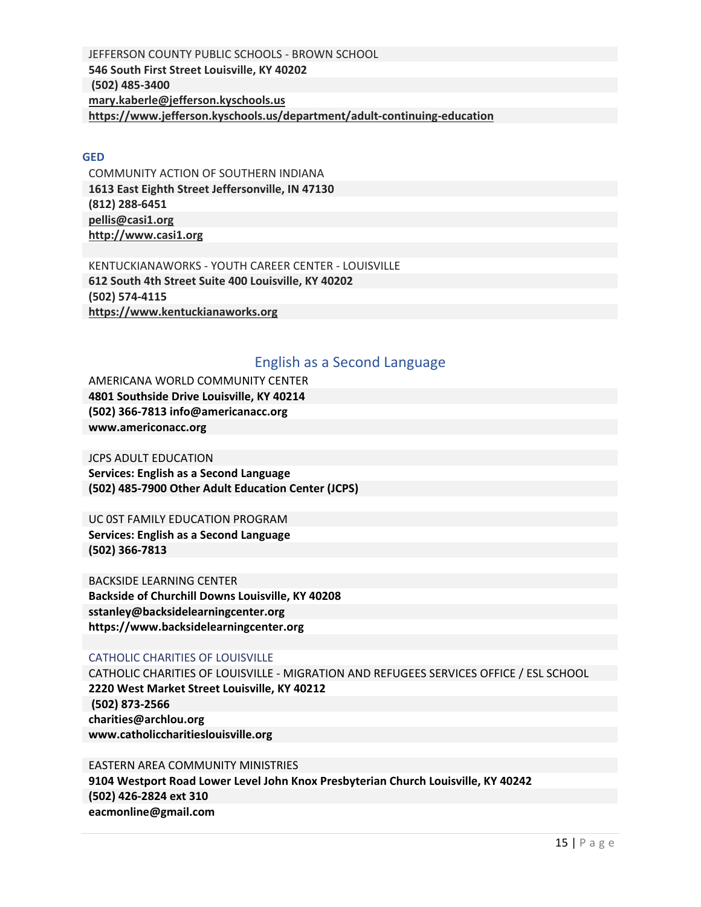<span id="page-17-0"></span>JEFFERSON COUNTY PUBLIC SCHOOLS - BROWN SCHOOL **546 South First Street Louisville, KY 40202 (502) 485-3400 [mary.kaberle@jefferson.kyschools.us](mailto:mary.kaberle@jefferson.kyschools.us)  <https://www.jefferson.kyschools.us/department/adult-continuing-education>**

#### **GED**

COMMUNITY ACTION OF SOUTHERN INDIANA **1613 East Eighth Street Jeffersonville, IN 47130 (812) 288-6451 [pellis@casi1.org](mailto:pellis@casi1.org)  [http://www.casi1.org](http://www.casi1.org/)**

KENTUCKIANAWORKS - YOUTH CAREER CENTER - LOUISVILLE **612 South 4th Street Suite 400 Louisville, KY 40202 (502) 574-4115 [https://www.kentuckianaworks.org](https://www.kentuckianaworks.org/)**

#### English as a Second Language

AMERICANA WORLD COMMUNITY CENTER **4801 Southside Drive Louisville, KY 40214 (502) 366-7813 info@americanacc.org www.americonacc.org**

JCPS ADULT EDUCATION **Services: English as a Second Language (502) 485-7900 Other Adult Education Center (JCPS)**

UC 0ST FAMILY EDUCATION PROGRAM **Services: English as a Second Language (502) 366-7813** 

BACKSIDE LEARNING CENTER **Backside of Churchill Downs Louisville, KY 40208 sstanley@backsidelearningcenter.org https://www.backsidelearningcenter.org**

#### CATHOLIC CHARITIES OF LOUISVILLE

CATHOLIC CHARITIES OF LOUISVILLE - MIGRATION AND REFUGEES SERVICES OFFICE / ESL SCHOOL **2220 West Market Street Louisville, KY 40212 (502) 873-2566 charities@archlou.org www.catholiccharitieslouisville.org** 

EASTERN AREA COMMUNITY MINISTRIES **9104 Westport Road Lower Level John Knox Presbyterian Church Louisville, KY 40242 (502) 426-2824 ext 310 eacmonline@gmail.com**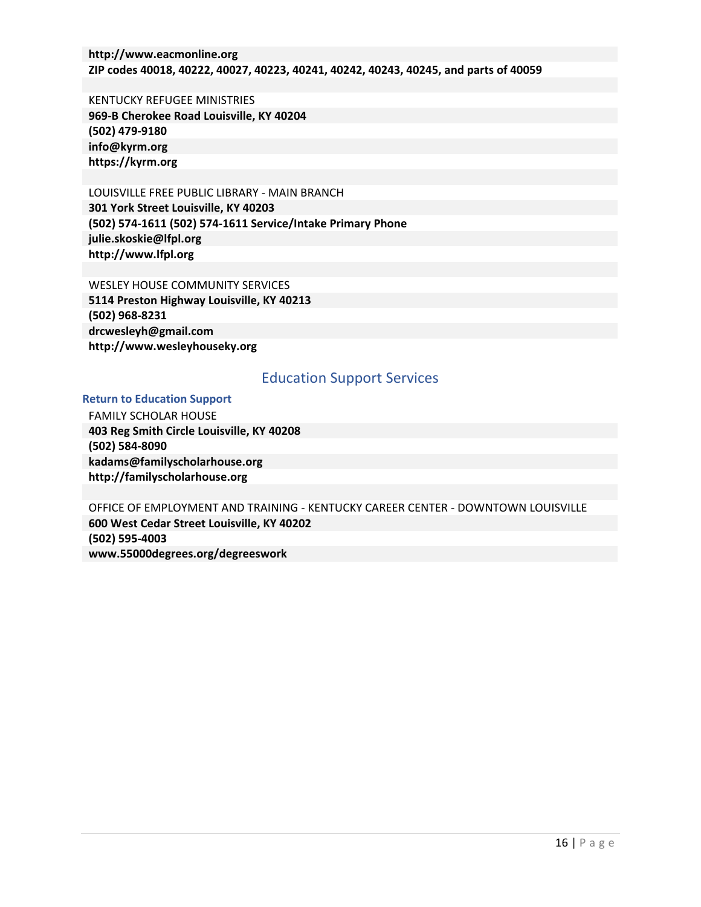<span id="page-18-0"></span>**http://www.eacmonline.org ZIP codes 40018, 40222, 40027, 40223, 40241, 40242, 40243, 40245, and parts of 40059** 

KENTUCKY REFUGEE MINISTRIES **969-B Cherokee Road Louisville, KY 40204 (502) 479-9180 info@kyrm.org https://kyrm.org**

LOUISVILLE FREE PUBLIC LIBRARY - MAIN BRANCH **301 York Street Louisville, KY 40203 (502) 574-1611 (502) 574-1611 Service/Intake Primary Phone julie.skoskie@lfpl.org http://www.lfpl.org**

WESLEY HOUSE COMMUNITY SERVICES **5114 Preston Highway Louisville, KY 40213 (502) 968-8231 drcwesleyh@gmail.com http://www.wesleyhouseky.org**

## Education Support Services

#### **Return to Education Support**

FAMILY SCHOLAR HOUSE **403 Reg Smith Circle Louisville, KY 40208 (502) 584-8090 kadams@familyscholarhouse.org http://familyscholarhouse.org** 

OFFICE OF EMPLOYMENT AND TRAINING - KENTUCKY CAREER CENTER - DOWNTOWN LOUISVILLE **600 West Cedar Street Louisville, KY 40202 (502) 595-4003 www.55000degrees.org/degreeswork**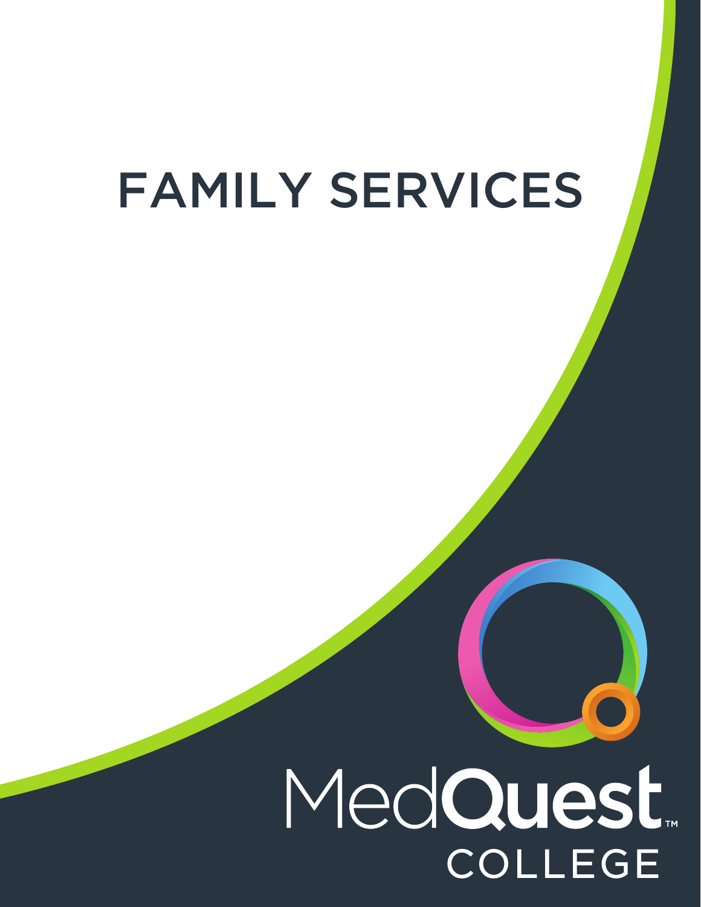# FAMILY SERVICES

# MedQuest. **COLLEGE**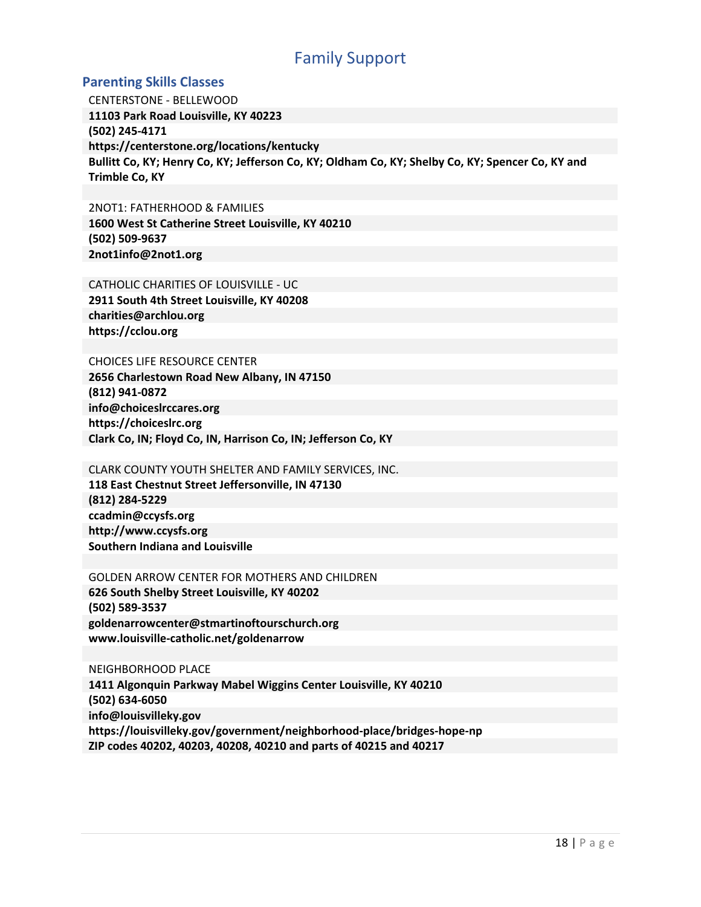# Family Support

### <span id="page-20-0"></span>**Parenting Skills Classes**

CENTERSTONE - BELLEWOOD **11103 Park Road Louisville, KY 40223 (502) 245-4171 https://centerstone.org/locations/kentucky Bullitt Co, KY; Henry Co, KY; Jefferson Co, KY; Oldham Co, KY; Shelby Co, KY; Spencer Co, KY and Trimble Co, KY**

2NOT1: FATHERHOOD & FAMILIES **1600 West St Catherine Street Louisville, KY 40210 (502) 509-9637 2not1info@2not1.org**

CATHOLIC CHARITIES OF LOUISVILLE - UC **2911 South 4th Street Louisville, KY 40208 charities@archlou.org https://cclou.org**

#### CHOICES LIFE RESOURCE CENTER

**2656 Charlestown Road New Albany, IN 47150 (812) 941-0872 info@choiceslrccares.org https://choiceslrc.org Clark Co, IN; Floyd Co, IN, Harrison Co, IN; Jefferson Co, KY**

# CLARK COUNTY YOUTH SHELTER AND FAMILY SERVICES, INC.

**118 East Chestnut Street Jeffersonville, IN 47130 (812) 284-5229 ccadmin@ccysfs.org http://www.ccysfs.org Southern Indiana and Louisville**

#### GOLDEN ARROW CENTER FOR MOTHERS AND CHILDREN **626 South Shelby Street Louisville, KY 40202**

**(502) 589-3537 goldenarrowcenter@stmartinoftourschurch.org www.louisville-catholic.net/goldenarrow**

#### NEIGHBORHOOD PLACE

**1411 Algonquin Parkway Mabel Wiggins Center Louisville, KY 40210 (502) 634-6050 info@louisvilleky.gov https://louisvilleky.gov/government/neighborhood-place/bridges-hope-np ZIP codes 40202, 40203, 40208, 40210 and parts of 40215 and 40217**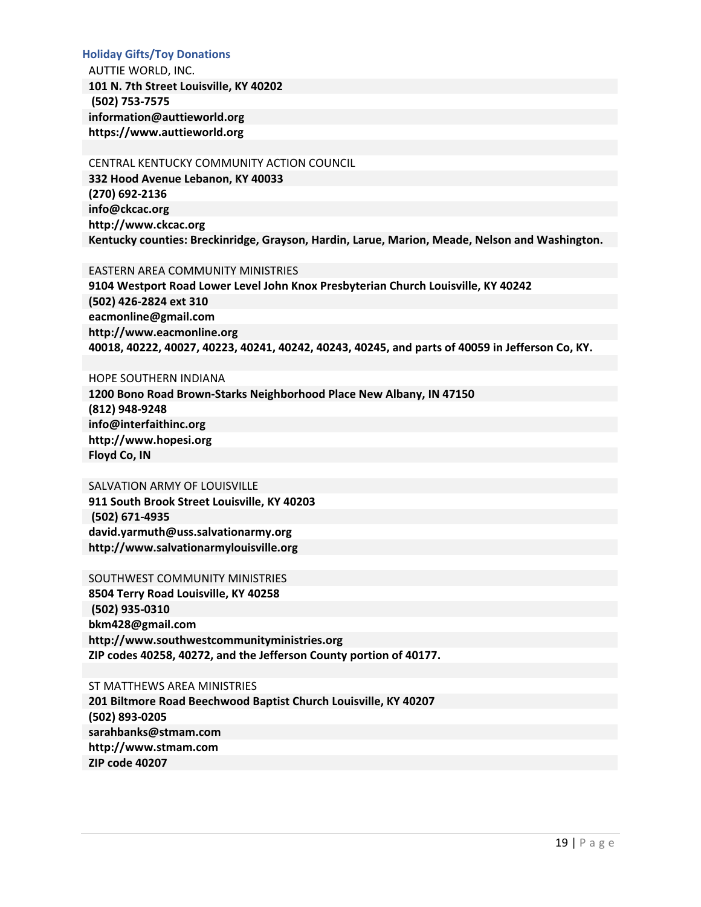#### **Holiday Gifts/Toy Donations**

AUTTIE WORLD, INC. **101 N. 7th Street Louisville, KY 40202 (502) 753-7575 information@auttieworld.org https://www.auttieworld.org**

#### CENTRAL KENTUCKY COMMUNITY ACTION COUNCIL

**332 Hood Avenue Lebanon, KY 40033 (270) 692-2136 info@ckcac.org [http://www.ckcac.org](http://www.ckcac.org/) Kentucky counties: Breckinridge, Grayson, Hardin, Larue, Marion, Meade, Nelson and Washington.**

#### EASTERN AREA COMMUNITY MINISTRIES

**9104 Westport Road Lower Level John Knox Presbyterian Church Louisville, KY 40242 (502) 426-2824 ext 310 eacmonline@gmail.com http://www.eacmonline.org 40018, 40222, 40027, 40223, 40241, 40242, 40243, 40245, and parts of 40059 in Jefferson Co, KY.**

#### HOPE SOUTHERN INDIANA

**1200 Bono Road Brown-Starks Neighborhood Place New Albany, IN 47150 (812) 948-9248 info@interfaithinc.org http://www.hopesi.org Floyd Co, IN**

### SALVATION ARMY OF LOUISVILLE

**911 South Brook Street Louisville, KY 40203 (502) 671-4935 david.yarmuth@uss.salvationarmy.org http://www.salvationarmylouisville.org**

#### SOUTHWEST COMMUNITY MINISTRIES

**8504 Terry Road Louisville, KY 40258 (502) 935-0310 bkm428@gmail.com http://www.southwestcommunityministries.org ZIP codes 40258, 40272, and the Jefferson County portion of 40177.**

#### ST MATTHEWS AREA MINISTRIES

**201 Biltmore Road Beechwood Baptist Church Louisville, KY 40207 (502) 893-0205 sarahbanks@stmam.com http://www.stmam.com ZIP code 40207**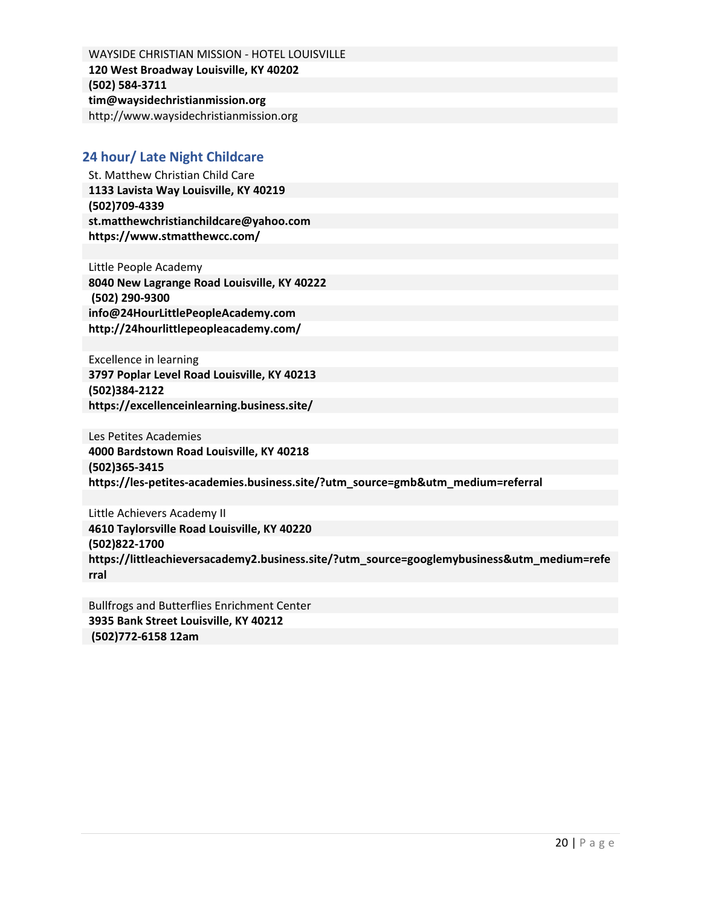WAYSIDE CHRISTIAN MISSION - HOTEL LOUISVILLE **120 West Broadway Louisville, KY 40202 (502) 584-3711 tim@waysidechristianmission.org**  http://www.waysidechristianmission.org

# **24 hour/ Late Night Childcare**

St. Matthew Christian Child Care **1133 Lavista Way Louisville, KY 40219 (502)709-4339 st.matthewchristianchildcare@yahoo.com https://www.stmatthewcc.com/**

Little People Academy **8040 New Lagrange Road Louisville, KY 40222 (502) 290-9300 info@24HourLittlePeopleAcademy.com http://24hourlittlepeopleacademy.com/**

Excellence in learning **3797 Poplar Level Road Louisville, KY 40213 (502)384-2122 https://excellenceinlearning.business.site/**

Les Petites Academies **4000 Bardstown Road Louisville, KY 40218 (502)365-3415 https://les-petites-academies.business.site/?utm\_source=gmb&utm\_medium=referral**

Little Achievers Academy II **4610 Taylorsville Road Louisville, KY 40220 (502)822-1700 https://littleachieversacademy2.business.site/?utm\_source=googlemybusiness&utm\_medium=refe rral** 

Bullfrogs and Butterflies Enrichment Center **3935 Bank Street Louisville, KY 40212 (502)772-6158 12am**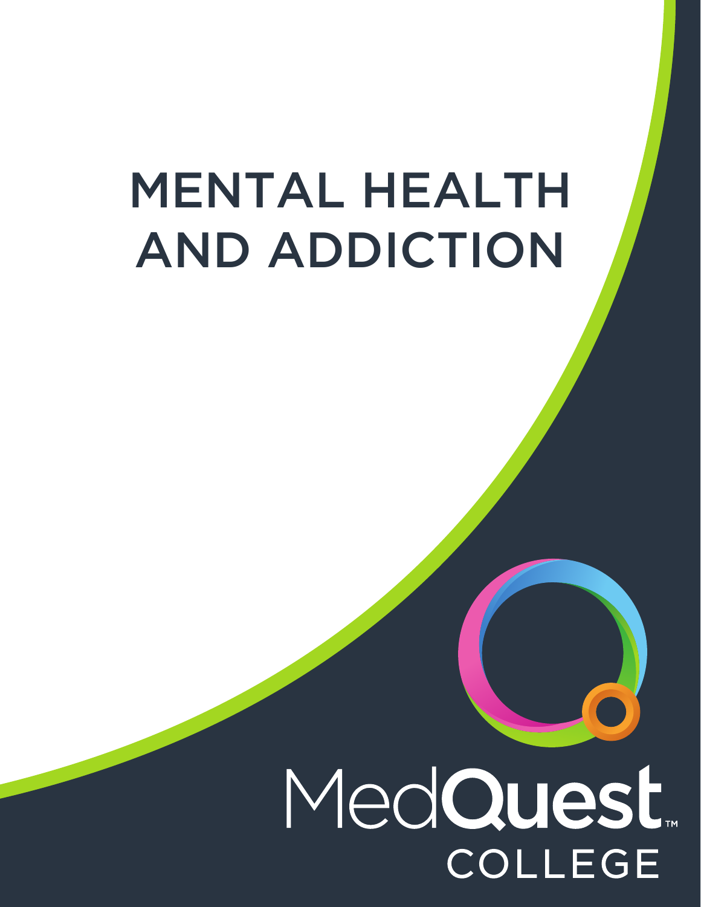# MENTAL HEALTH AND ADDICTION

# MedQuest. **COLLEGE**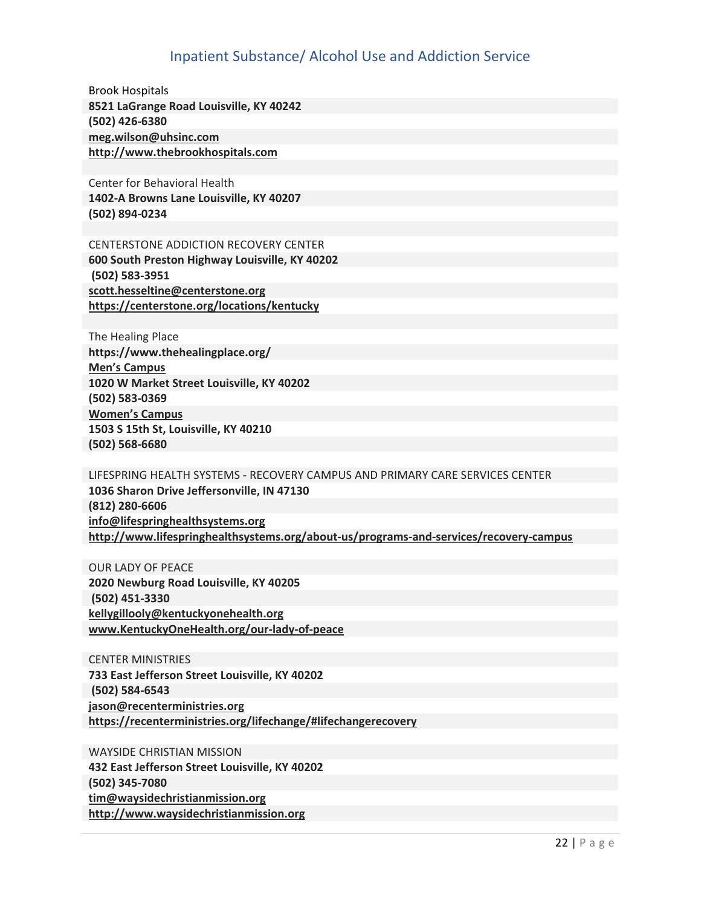# Inpatient Substance/ Alcohol Use and Addiction Service

<span id="page-24-0"></span>Brook Hospitals **8521 LaGrange Road Louisville, KY 40242 (502) 426-6380 [meg.wilson@uhsinc.com](mailto:meg.wilson@uhsinc.com)  [http://www.thebrookhospitals.com](http://www.thebrookhospitals.com/)**

Center for Behavioral Health **1402-A Browns Lane Louisville, KY 40207 (502) 894-0234** 

CENTERSTONE ADDICTION RECOVERY CENTER **600 South Preston Highway Louisville, KY 40202 (502) 583-3951 [scott.hesseltine@centerstone.org](mailto:scott.hesseltine@centerstone.org) <https://centerstone.org/locations/kentucky>**

The Healing Place **https://www.thehealingplace.org/ Men's Campus 1020 W Market Street Louisville, KY 40202 (502) 583-0369 Women's Campus 1503 S 15th St, Louisville, KY 40210 (502) 568-6680** 

LIFESPRING HEALTH SYSTEMS - RECOVERY CAMPUS AND PRIMARY CARE SERVICES CENTER **1036 Sharon Drive Jeffersonville, IN 47130 (812) 280-6606 [info@lifespringhealthsystems.org](mailto:info@lifespringhealthsystems.org)  <http://www.lifespringhealthsystems.org/about-us/programs-and-services/recovery-campus>**

OUR LADY OF PEACE **2020 Newburg Road Louisville, KY 40205 (502) 451-3330 [kellygillooly@kentuckyonehealth.org](mailto:kellygillooly@kentuckyonehealth.org)  [www.KentuckyOneHealth.org/our-lady-of-peace](http://www.kentuckyonehealth.org/our-lady-of-peace)**

CENTER MINISTRIES **733 East Jefferson Street Louisville, KY 40202 (502) 584-6543 [jason@recenterministries.org](mailto:jason@recenterministries.org)  <https://recenterministries.org/lifechange/#lifechangerecovery>**

WAYSIDE CHRISTIAN MISSION **432 East Jefferson Street Louisville, KY 40202 (502) 345-7080 [tim@waysidechristianmission.org](mailto:tim@waysidechristianmission.org)  [http://www.waysidechristianmission.org](http://www.waysidechristianmission.org/)**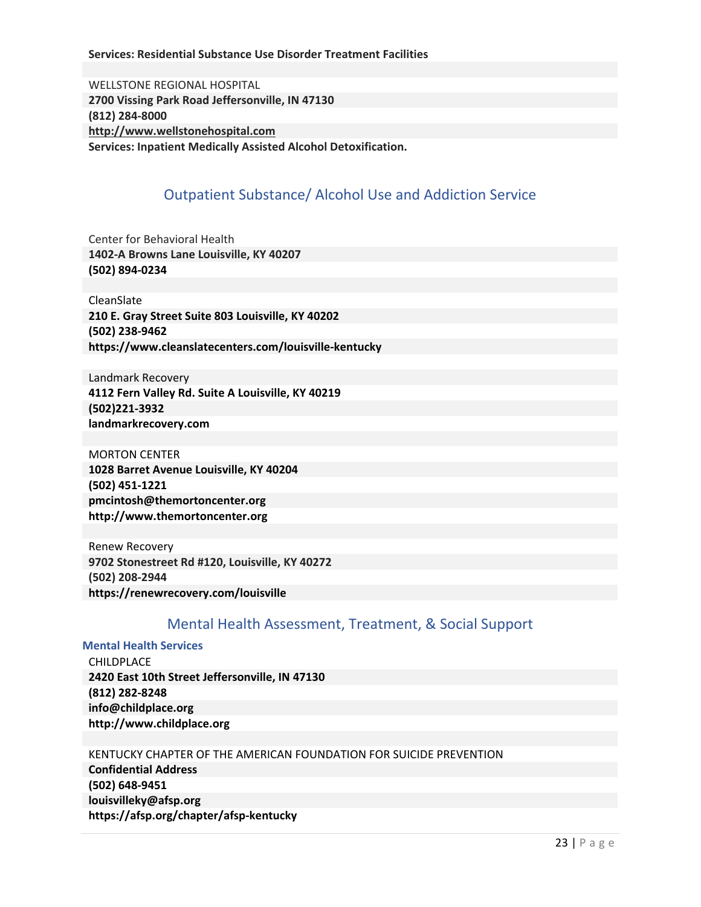#### <span id="page-25-0"></span>**Services: Residential Substance Use Disorder Treatment Facilities**

WELLSTONE REGIONAL HOSPITAL **2700 Vissing Park Road Jeffersonville, IN 47130 (812) 284-8000 [http://www.wellstonehospital.com](http://www.wellstonehospital.com/) Services: Inpatient Medically Assisted Alcohol Detoxification.** 

# Outpatient Substance/ Alcohol Use and Addiction Service

Center for Behavioral Health **1402-A Browns Lane Louisville, KY 40207 (502) 894-0234** 

CleanSlate **210 E. Gray Street Suite 803 Louisville, KY 40202 (502) 238-9462 https://www.cleanslatecenters.com/louisville-kentucky**

Landmark Recovery **4112 Fern Valley Rd. Suite A Louisville, KY 40219 (502)221-3932 landmarkrecovery.com**

MORTON CENTER **1028 Barret Avenue Louisville, KY 40204 (502) 451-1221 pmcintosh@themortoncenter.org http://www.themortoncenter.org**

Renew Recovery **9702 Stonestreet Rd #120, Louisville, KY 40272 (502) 208-2944 https://renewrecovery.com/louisville** 

# Mental Health Assessment, Treatment, & Social Support

**Mental Health Services**

CHILDPLACE **2420 East 10th Street Jeffersonville, IN 47130 (812) 282-8248 info@childplace.org http://www.childplace.org**

#### KENTUCKY CHAPTER OF THE AMERICAN FOUNDATION FOR SUICIDE PREVENTION

**Confidential Address (502) 648-9451 louisvilleky@afsp.org https://afsp.org/chapter/afsp-kentucky**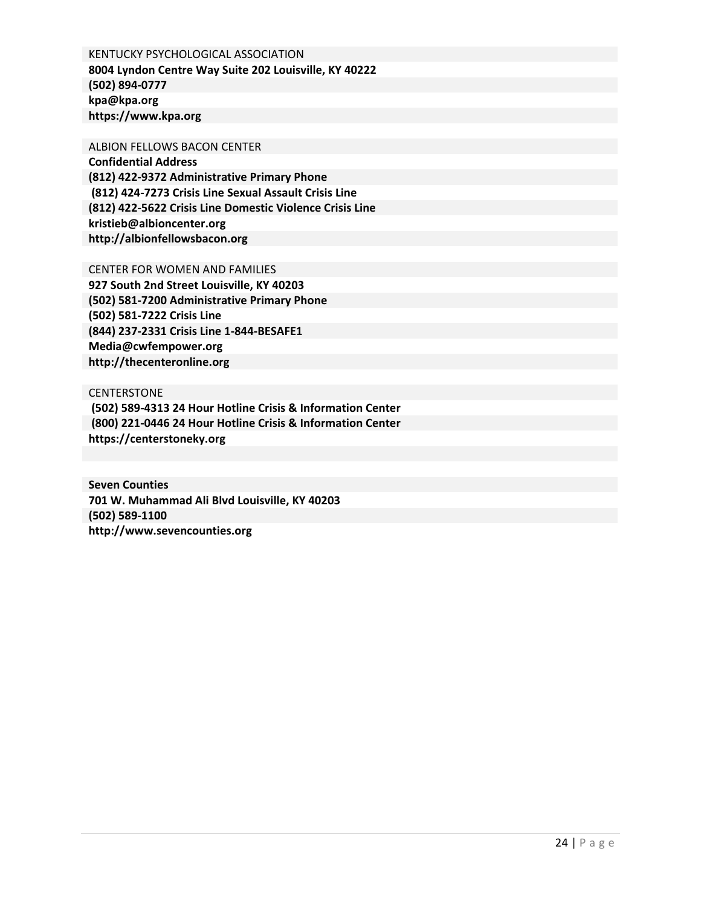KENTUCKY PSYCHOLOGICAL ASSOCIATION **8004 Lyndon Centre Way Suite 202 Louisville, KY 40222 (502) 894-0777 kpa@kpa.org https://www.kpa.org**

ALBION FELLOWS BACON CENTER

**Confidential Address (812) 422-9372 Administrative Primary Phone (812) 424-7273 Crisis Line Sexual Assault Crisis Line (812) 422-5622 Crisis Line Domestic Violence Crisis Line kristieb@albioncenter.org http://albionfellowsbacon.org** 

CENTER FOR WOMEN AND FAMILIES

**927 South 2nd Street Louisville, KY 40203 (502) 581-7200 Administrative Primary Phone (502) 581-7222 Crisis Line (844) 237-2331 Crisis Line 1-844-BESAFE1 Media@cwfempower.org http://thecenteronline.org**

**CENTERSTONE (502) 589-4313 24 Hour Hotline Crisis & Information Center (800) 221-0446 24 Hour Hotline Crisis & Information Center https://centerstoneky.org**

**Seven Counties 701 W. Muhammad Ali Blvd Louisville, KY 40203 (502) 589-1100 http://www.sevencounties.org**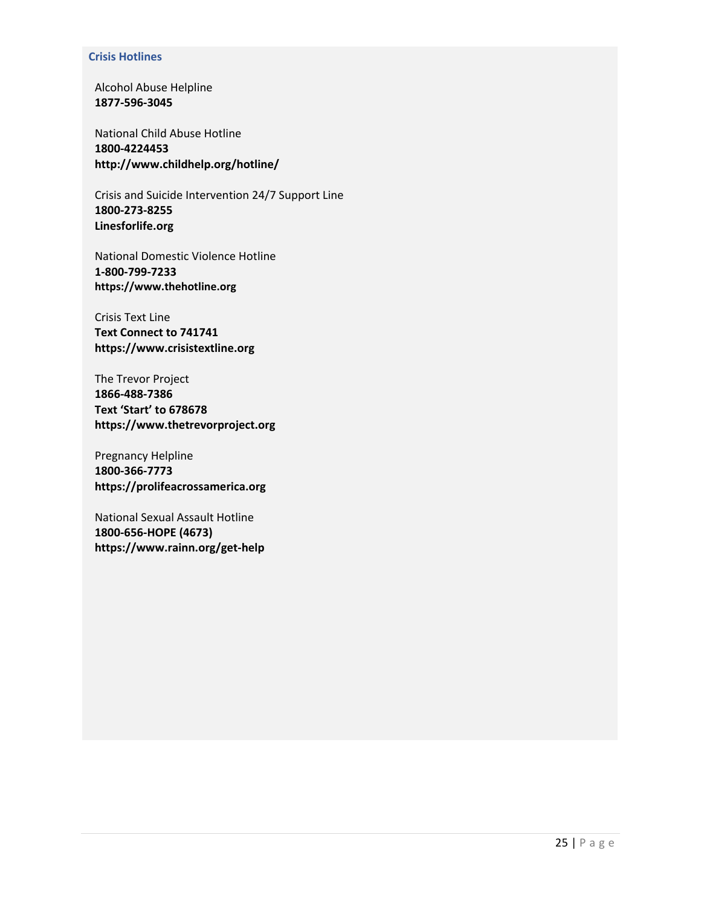#### **Crisis Hotlines**

Alcohol Abuse Helpline **1877-596-3045**

National Child Abuse Hotline **1800-4224453 http://www.childhelp.org/hotline/**

Crisis and Suicide Intervention 24/7 Support Line **1800-273-8255 Linesforlife.org** 

National Domestic Violence Hotline **1-800-799-7233 https://www.thehotline.org**

Crisis Text Line **Text Connect to 741741 https://www.crisistextline.org** 

The Trevor Project **1866-488-7386 Text 'Start' to 678678 https://www.thetrevorproject.org**

Pregnancy Helpline **1800-366-7773 https://prolifeacrossamerica.org**

National Sexual Assault Hotline **1800-656-HOPE (4673) https://www.rainn.org/get-help**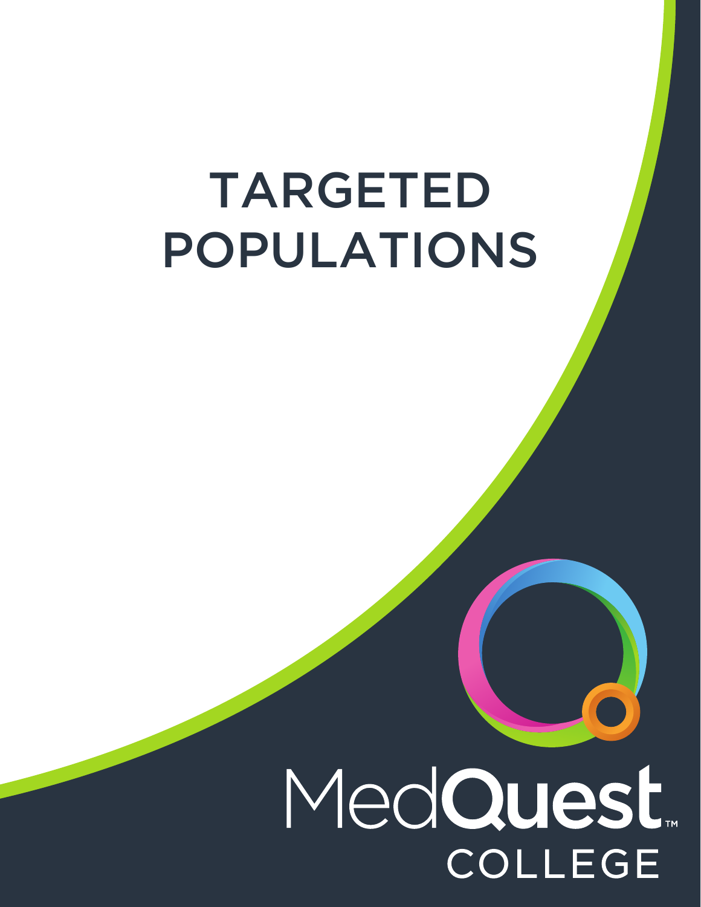# TARGETED POPULATIONS

# MedQuest. **COLLEGE**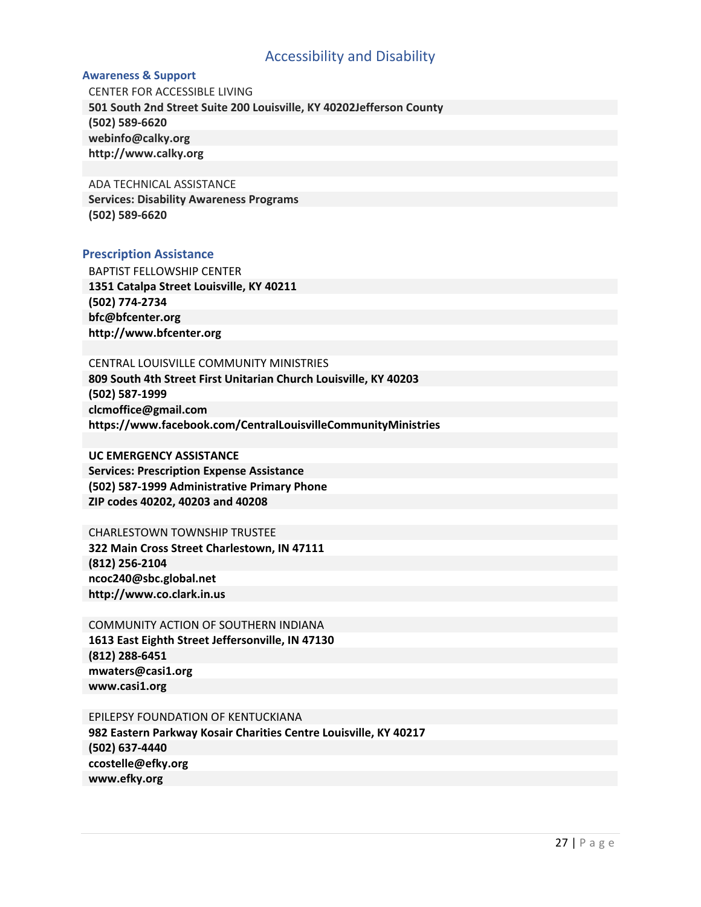# Accessibility and Disability

#### <span id="page-29-0"></span>**Awareness & Support**

CENTER FOR ACCESSIBLE LIVING **501 South 2nd Street Suite 200 Louisville, KY 40202Jefferson County (502) 589-6620 webinfo@calky.org http://www.calky.org**

#### ADA TECHNICAL ASSISTANCE

**Services: Disability Awareness Programs (502) 589-6620** 

#### **Prescription Assistance**

BAPTIST FELLOWSHIP CENTER **1351 Catalpa Street Louisville, KY 40211 (502) 774-2734 bfc@bfcenter.org http://www.bfcenter.org**

#### CENTRAL LOUISVILLE COMMUNITY MINISTRIES

**809 South 4th Street First Unitarian Church Louisville, KY 40203 (502) 587-1999 clcmoffice@gmail.com https://www.facebook.com/CentralLouisvilleCommunityMinistries** 

#### **UC EMERGENCY ASSISTANCE**

**Services: Prescription Expense Assistance (502) 587-1999 Administrative Primary Phone ZIP codes 40202, 40203 and 40208**

#### CHARLESTOWN TOWNSHIP TRUSTEE

**322 Main Cross Street Charlestown, IN 47111 (812) 256-2104 ncoc240@sbc.global.net http://www.co.clark.in.us**

COMMUNITY ACTION OF SOUTHERN INDIANA **1613 East Eighth Street Jeffersonville, IN 47130 (812) 288-6451 mwaters@casi1.org www.casi1.org**

#### EPILEPSY FOUNDATION OF KENTUCKIANA

**982 Eastern Parkway Kosair Charities Centre Louisville, KY 40217 (502) 637-4440 ccostelle@efky.org www.efky.org**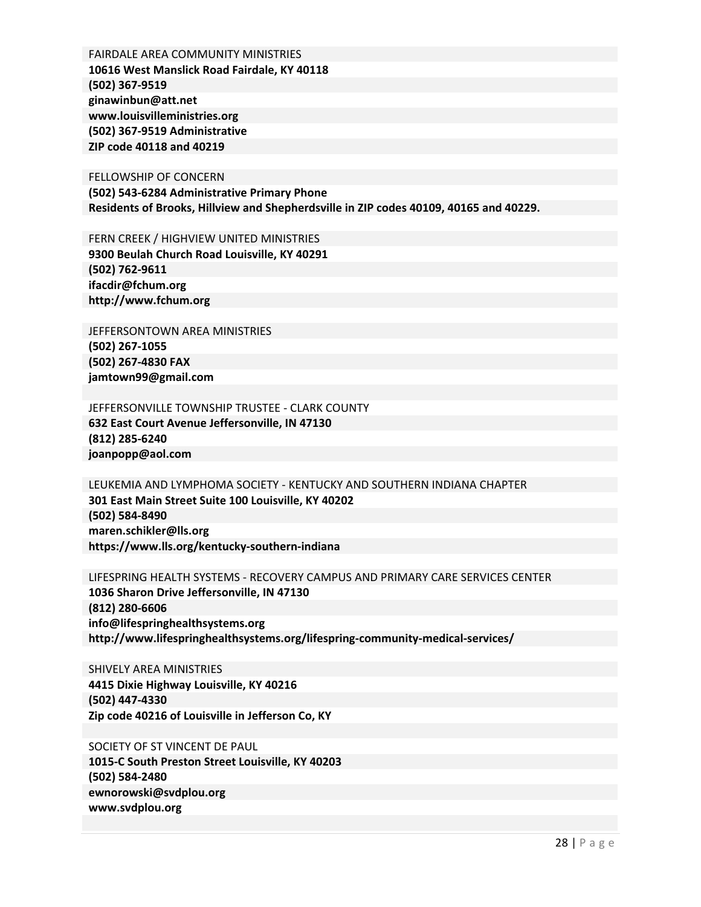FAIRDALE AREA COMMUNITY MINISTRIES **10616 West Manslick Road Fairdale, KY 40118 (502) 367-9519 ginawinbun@att.net www.louisvilleministries.org (502) 367-9519 Administrative ZIP code 40118 and 40219** 

FELLOWSHIP OF CONCERN **(502) 543-6284 Administrative Primary Phone Residents of Brooks, Hillview and Shepherdsville in ZIP codes 40109, 40165 and 40229.**

FERN CREEK / HIGHVIEW UNITED MINISTRIES **9300 Beulah Church Road Louisville, KY 40291 (502) 762-9611 ifacdir@fchum.org http://www.fchum.org**

JEFFERSONTOWN AREA MINISTRIES **(502) 267-1055 (502) 267-4830 FAX jamtown99@gmail.com**

JEFFERSONVILLE TOWNSHIP TRUSTEE - CLARK COUNTY **632 East Court Avenue Jeffersonville, IN 47130 (812) 285-6240 joanpopp@aol.com**

LEUKEMIA AND LYMPHOMA SOCIETY - KENTUCKY AND SOUTHERN INDIANA CHAPTER **301 East Main Street Suite 100 Louisville, KY 40202 (502) 584-8490 maren.schikler@lls.org https://www.lls.org/kentucky-southern-indiana**

LIFESPRING HEALTH SYSTEMS - RECOVERY CAMPUS AND PRIMARY CARE SERVICES CENTER **1036 Sharon Drive Jeffersonville, IN 47130 (812) 280-6606 info@lifespringhealthsystems.org http://www.lifespringhealthsystems.org/lifespring-community-medical-services/**

SHIVELY AREA MINISTRIES **4415 Dixie Highway Louisville, KY 40216 (502) 447-4330 Zip code 40216 of Louisville in Jefferson Co, KY**

SOCIETY OF ST VINCENT DE PAUL **1015-C South Preston Street Louisville, KY 40203 (502) 584-2480 ewnorowski@svdplou.org www.svdplou.org**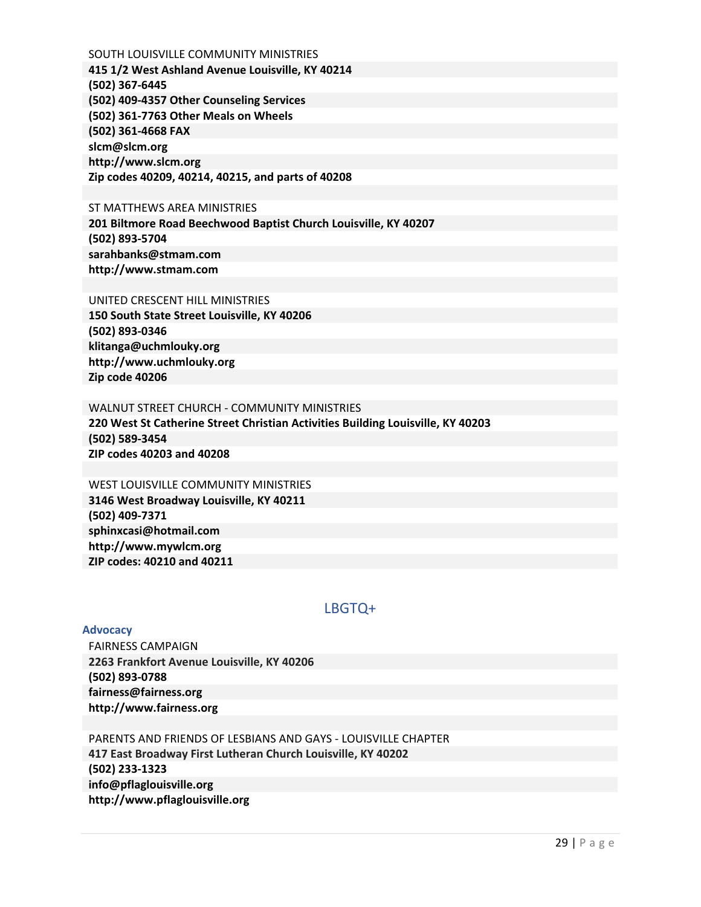<span id="page-31-0"></span>SOUTH LOUISVILLE COMMUNITY MINISTRIES **415 1/2 West Ashland Avenue Louisville, KY 40214 (502) 367-6445 (502) 409-4357 Other Counseling Services (502) 361-7763 Other Meals on Wheels (502) 361-4668 FAX slcm@slcm.org http://www.slcm.org Zip codes 40209, 40214, 40215, and parts of 40208** 

#### ST MATTHEWS AREA MINISTRIES

**201 Biltmore Road Beechwood Baptist Church Louisville, KY 40207 (502) 893-5704 sarahbanks@stmam.com http://www.stmam.com**

#### UNITED CRESCENT HILL MINISTRIES

**150 South State Street Louisville, KY 40206 (502) 893-0346 klitanga@uchmlouky.org http://www.uchmlouky.org Zip code 40206** 

#### WALNUT STREET CHURCH - COMMUNITY MINISTRIES

**220 West St Catherine Street Christian Activities Building Louisville, KY 40203 (502) 589-3454 ZIP codes 40203 and 40208** 

#### WEST LOUISVILLE COMMUNITY MINISTRIES **3146 West Broadway Louisville, KY 40211 (502) 409-7371 sphinxcasi@hotmail.com http://www.mywlcm.org ZIP codes: 40210 and 40211**

## LBGTQ+

#### **Advocacy**

FAIRNESS CAMPAIGN **2263 Frankfort Avenue Louisville, KY 40206 (502) 893-0788 fairness@fairness.org http://www.fairness.org**

PARENTS AND FRIENDS OF LESBIANS AND GAYS - LOUISVILLE CHAPTER **417 East Broadway First Lutheran Church Louisville, KY 40202 (502) 233-1323 info@pflaglouisville.org http://www.pflaglouisville.org**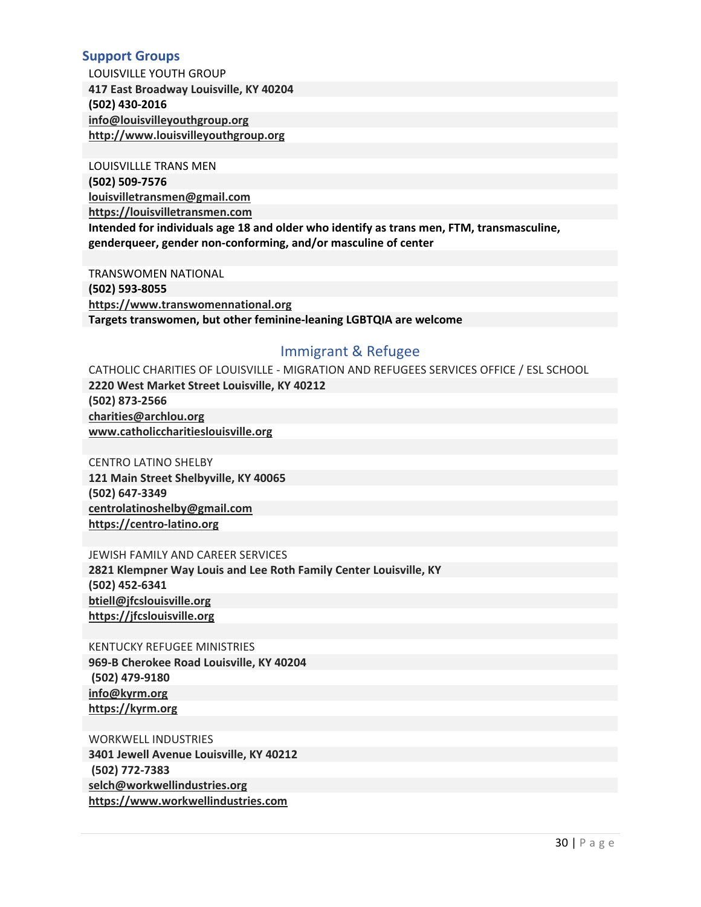### <span id="page-32-0"></span>**Support Groups**

LOUISVILLE YOUTH GROUP **417 East Broadway Louisville, KY 40204 (502) 430-2016 [info@louisvilleyouthgroup.org](mailto:info@louisvilleyouthgroup.org) [http://www.louisvilleyouthgroup.org](http://www.louisvilleyouthgroup.org/)**

LOUISVILLLE TRANS MEN

**(502) 509-7576** 

**[louisvilletransmen@gmail.com](mailto:louisvilletransmen@gmail.com) [https://louisvilletransmen.com](https://louisvilletransmen.com/)**

**Intended for individuals age 18 and older who identify as trans men, FTM, transmasculine, genderqueer, gender non-conforming, and/or masculine of center** 

TRANSWOMEN NATIONAL **(502) 593-8055 [https://www.transwomennational.org](https://www.transwomennational.org/) Targets transwomen, but other feminine-leaning LGBTQIA are welcome**

# Immigrant & Refugee

CATHOLIC CHARITIES OF LOUISVILLE - MIGRATION AND REFUGEES SERVICES OFFICE / ESL SCHOOL **2220 West Market Street Louisville, KY 40212 (502) 873-2566 [charities@archlou.org](mailto:charities@archlou.org) [www.catholiccharitieslouisville.org](http://www.catholiccharitieslouisville.org/)** 

CENTRO LATINO SHELBY **121 Main Street Shelbyville, KY 40065 (502) 647-3349 [centrolatinoshelby@gmail.com](mailto:centrolatinoshelby@gmail.com) [https://centro-latino.org](https://centro-latino.org/)**

JEWISH FAMILY AND CAREER SERVICES

**2821 Klempner Way Louis and Lee Roth Family Center Louisville, KY (502) 452-6341 [btiell@jfcslouisville.org](mailto:btiell@jfcslouisville.org)  [https://jfcslouisville.org](https://jfcslouisville.org/)** 

KENTUCKY REFUGEE MINISTRIES

**969-B Cherokee Road Louisville, KY 40204 (502) 479-9180 [info@kyrm.org](mailto:info@kyrm.org) [https://kyrm.org](https://kyrm.org/)**

WORKWELL INDUSTRIES **3401 Jewell Avenue Louisville, KY 40212 (502) 772-7383 [selch@workwellindustries.org](mailto:selch@workwellindustries.org)  [https://www.workwellindustries.com](https://www.workwellindustries.com/)**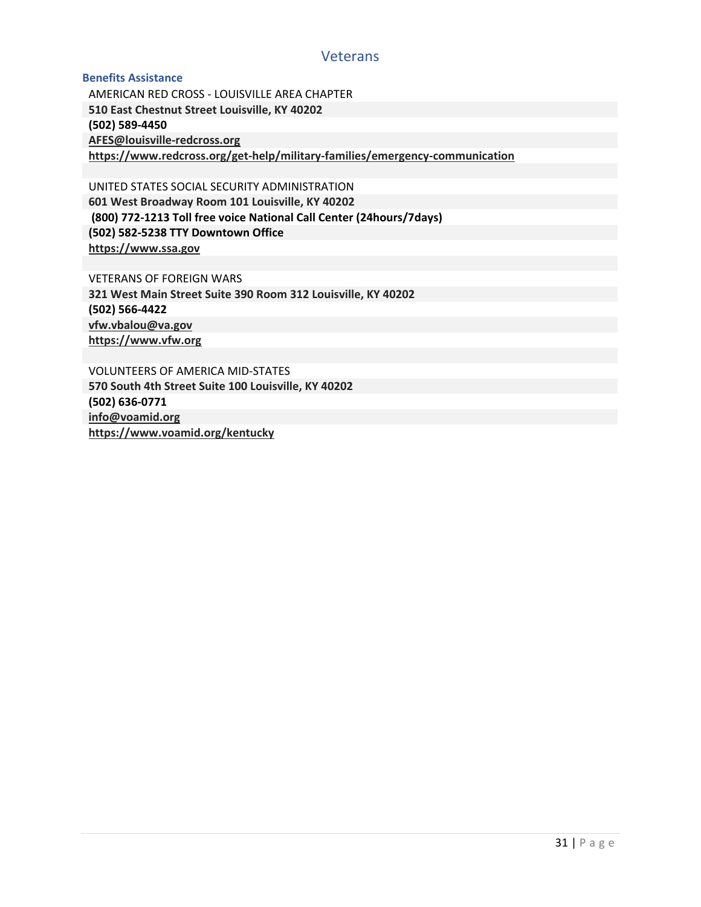### **Veterans**

#### <span id="page-33-0"></span>**Benefits Assistance**

AMERICAN RED CROSS - LOUISVILLE AREA CHAPTER **510 East Chestnut Street Louisville, KY 40202 (502) 589-4450 [AFES@louisville-redcross.org](mailto:AFES@louisville-redcross.org) <https://www.redcross.org/get-help/military-families/emergency-communication>**

UNITED STATES SOCIAL SECURITY ADMINISTRATION **601 West Broadway Room 101 Louisville, KY 40202 (800) 772-1213 Toll free voice National Call Center (24hours/7days) (502) 582-5238 TTY Downtown Office [https://www.ssa.gov](https://www.ssa.gov/)**

VETERANS OF FOREIGN WARS **321 West Main Street Suite 390 Room 312 Louisville, KY 40202 (502) 566-4422 [vfw.vbalou@va.gov](mailto:vfw.vbalou@va.gov) [https://www.vfw.org](https://www.vfw.org/)**

VOLUNTEERS OF AMERICA MID-STATES **570 South 4th Street Suite 100 Louisville, KY 40202 (502) 636-0771 [info@voamid.org](mailto:info@voamid.org) <https://www.voamid.org/kentucky>**